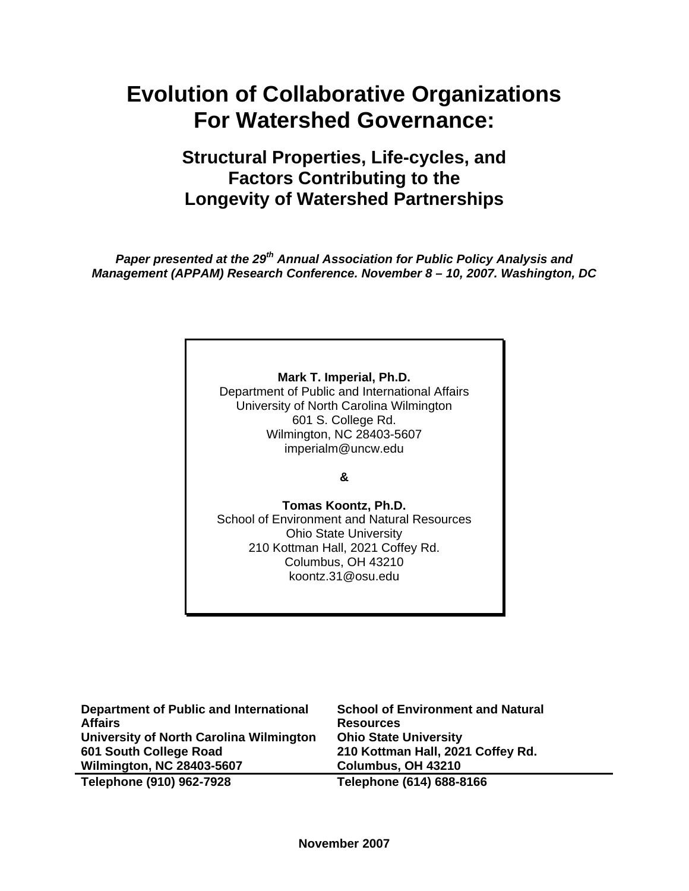## **Structural Properties, Life-cycles, and Factors Contributing to the Longevity of Watershed Partnerships**

*Paper presented at the 29th Annual Association for Public Policy Analysis and Management (APPAM) Research Conference. November 8 – 10, 2007. Washington, DC* 

## **Mark T. Imperial, Ph.D.**

Department of Public and International Affairs University of North Carolina Wilmington 601 S. College Rd. Wilmington, NC 28403-5607 imperialm@uncw.edu

**&** 

**Tomas Koontz, Ph.D.**  School of Environment and Natural Resources Ohio State University 210 Kottman Hall, 2021 Coffey Rd. Columbus, OH 43210 koontz.31@osu.edu

| <b>Department of Public and International</b><br><b>Affairs</b> | <b>School of Environment and Natural</b><br><b>Resources</b> |
|-----------------------------------------------------------------|--------------------------------------------------------------|
| University of North Carolina Wilmington                         | <b>Ohio State University</b>                                 |
| 601 South College Road                                          | 210 Kottman Hall, 2021 Coffey Rd.                            |
| <b>Wilmington, NC 28403-5607</b>                                | Columbus, OH 43210                                           |
| Telephone (910) 962-7928                                        | Telephone (614) 688-8166                                     |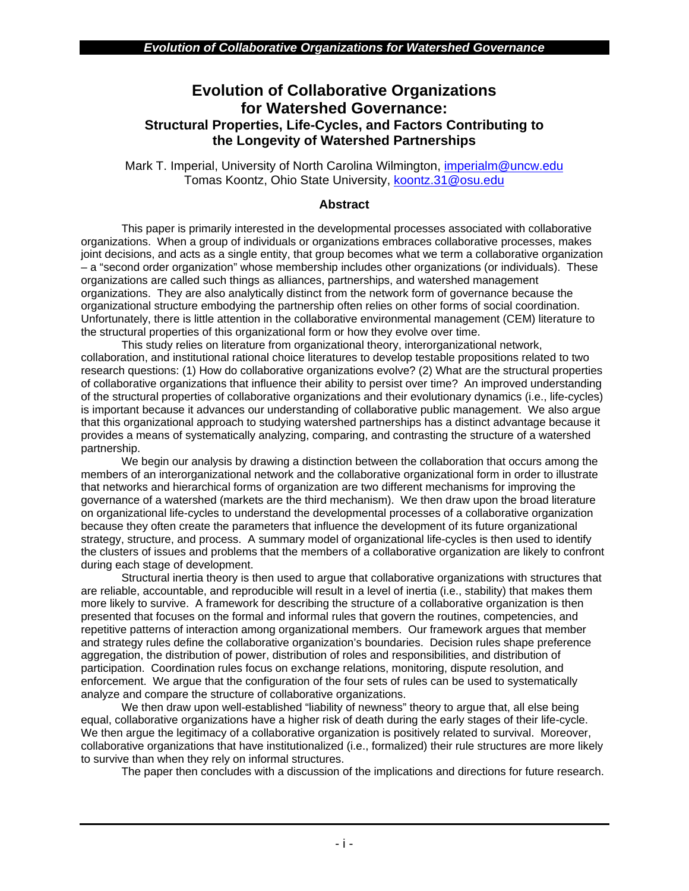## **Evolution of Collaborative Organizations for Watershed Governance: Structural Properties, Life-Cycles, and Factors Contributing to the Longevity of Watershed Partnerships**

Mark T. Imperial, University of North Carolina Wilmington, [imperialm@uncw.edu](mailto:imperialm@uncw.edu) Tomas Koontz, Ohio State University, [koontz.31@osu.edu](mailto:koontz.31@osu.edu)

## **Abstract**

This paper is primarily interested in the developmental processes associated with collaborative organizations. When a group of individuals or organizations embraces collaborative processes, makes joint decisions, and acts as a single entity, that group becomes what we term a collaborative organization – a "second order organization" whose membership includes other organizations (or individuals). These organizations are called such things as alliances, partnerships, and watershed management organizations. They are also analytically distinct from the network form of governance because the organizational structure embodying the partnership often relies on other forms of social coordination. Unfortunately, there is little attention in the collaborative environmental management (CEM) literature to the structural properties of this organizational form or how they evolve over time.

This study relies on literature from organizational theory, interorganizational network, collaboration, and institutional rational choice literatures to develop testable propositions related to two research questions: (1) How do collaborative organizations evolve? (2) What are the structural properties of collaborative organizations that influence their ability to persist over time? An improved understanding of the structural properties of collaborative organizations and their evolutionary dynamics (i.e., life-cycles) is important because it advances our understanding of collaborative public management. We also argue that this organizational approach to studying watershed partnerships has a distinct advantage because it provides a means of systematically analyzing, comparing, and contrasting the structure of a watershed partnership.

We begin our analysis by drawing a distinction between the collaboration that occurs among the members of an interorganizational network and the collaborative organizational form in order to illustrate that networks and hierarchical forms of organization are two different mechanisms for improving the governance of a watershed (markets are the third mechanism). We then draw upon the broad literature on organizational life-cycles to understand the developmental processes of a collaborative organization because they often create the parameters that influence the development of its future organizational strategy, structure, and process. A summary model of organizational life-cycles is then used to identify the clusters of issues and problems that the members of a collaborative organization are likely to confront during each stage of development.

Structural inertia theory is then used to argue that collaborative organizations with structures that are reliable, accountable, and reproducible will result in a level of inertia (i.e., stability) that makes them more likely to survive. A framework for describing the structure of a collaborative organization is then presented that focuses on the formal and informal rules that govern the routines, competencies, and repetitive patterns of interaction among organizational members. Our framework argues that member and strategy rules define the collaborative organization's boundaries. Decision rules shape preference aggregation, the distribution of power, distribution of roles and responsibilities, and distribution of participation. Coordination rules focus on exchange relations, monitoring, dispute resolution, and enforcement. We argue that the configuration of the four sets of rules can be used to systematically analyze and compare the structure of collaborative organizations.

We then draw upon well-established "liability of newness" theory to argue that, all else being equal, collaborative organizations have a higher risk of death during the early stages of their life-cycle. We then argue the legitimacy of a collaborative organization is positively related to survival. Moreover, collaborative organizations that have institutionalized (i.e., formalized) their rule structures are more likely to survive than when they rely on informal structures.

The paper then concludes with a discussion of the implications and directions for future research.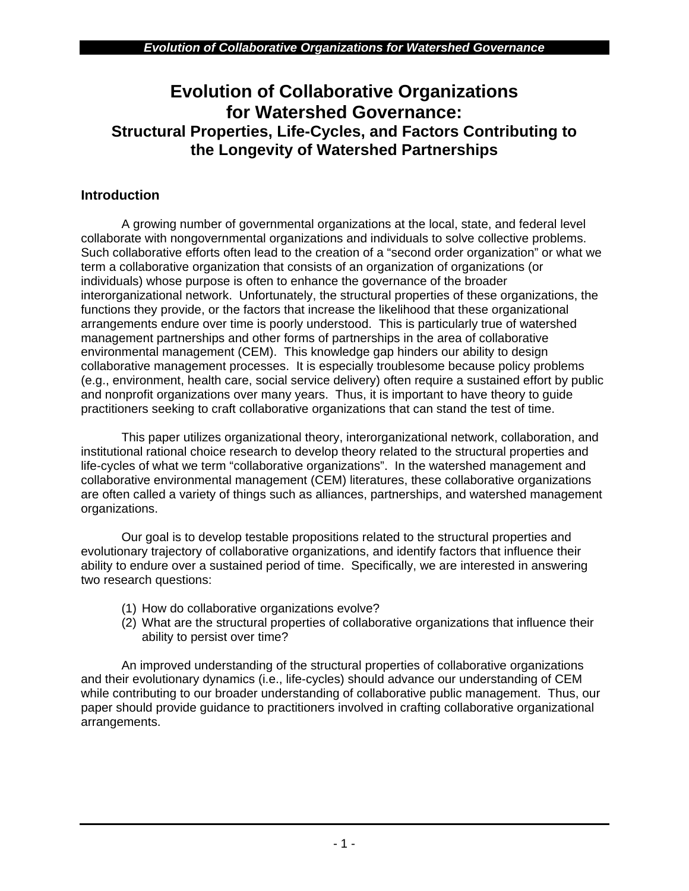## **Evolution of Collaborative Organizations for Watershed Governance: Structural Properties, Life-Cycles, and Factors Contributing to the Longevity of Watershed Partnerships**

## **Introduction**

A growing number of governmental organizations at the local, state, and federal level collaborate with nongovernmental organizations and individuals to solve collective problems. Such collaborative efforts often lead to the creation of a "second order organization" or what we term a collaborative organization that consists of an organization of organizations (or individuals) whose purpose is often to enhance the governance of the broader interorganizational network. Unfortunately, the structural properties of these organizations, the functions they provide, or the factors that increase the likelihood that these organizational arrangements endure over time is poorly understood. This is particularly true of watershed management partnerships and other forms of partnerships in the area of collaborative environmental management (CEM). This knowledge gap hinders our ability to design collaborative management processes. It is especially troublesome because policy problems (e.g., environment, health care, social service delivery) often require a sustained effort by public and nonprofit organizations over many years. Thus, it is important to have theory to guide practitioners seeking to craft collaborative organizations that can stand the test of time.

This paper utilizes organizational theory, interorganizational network, collaboration, and institutional rational choice research to develop theory related to the structural properties and life-cycles of what we term "collaborative organizations". In the watershed management and collaborative environmental management (CEM) literatures, these collaborative organizations are often called a variety of things such as alliances, partnerships, and watershed management organizations.

Our goal is to develop testable propositions related to the structural properties and evolutionary trajectory of collaborative organizations, and identify factors that influence their ability to endure over a sustained period of time. Specifically, we are interested in answering two research questions:

- (1) How do collaborative organizations evolve?
- (2) What are the structural properties of collaborative organizations that influence their ability to persist over time?

An improved understanding of the structural properties of collaborative organizations and their evolutionary dynamics (i.e., life-cycles) should advance our understanding of CEM while contributing to our broader understanding of collaborative public management. Thus, our paper should provide guidance to practitioners involved in crafting collaborative organizational arrangements.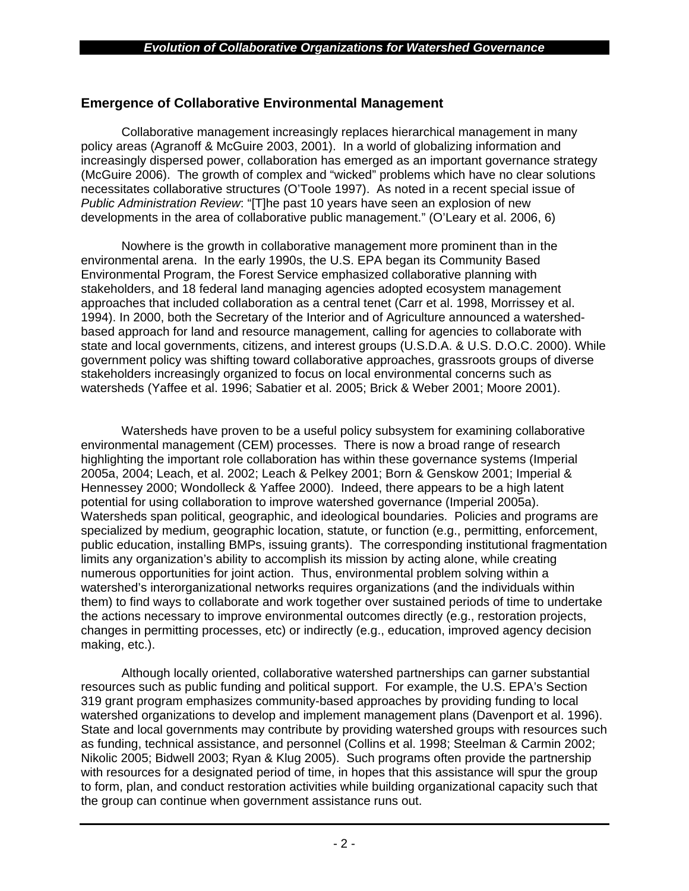## **Emergence of Collaborative Environmental Management**

Collaborative management increasingly replaces hierarchical management in many policy areas (Agranoff & McGuire 2003, 2001). In a world of globalizing information and increasingly dispersed power, collaboration has emerged as an important governance strategy (McGuire 2006). The growth of complex and "wicked" problems which have no clear solutions necessitates collaborative structures (O'Toole 1997). As noted in a recent special issue of *Public Administration Review*: "[T]he past 10 years have seen an explosion of new developments in the area of collaborative public management." (O'Leary et al. 2006, 6)

Nowhere is the growth in collaborative management more prominent than in the environmental arena. In the early 1990s, the U.S. EPA began its Community Based Environmental Program, the Forest Service emphasized collaborative planning with stakeholders, and 18 federal land managing agencies adopted ecosystem management approaches that included collaboration as a central tenet (Carr et al. 1998, Morrissey et al. 1994). In 2000, both the Secretary of the Interior and of Agriculture announced a watershedbased approach for land and resource management, calling for agencies to collaborate with state and local governments, citizens, and interest groups (U.S.D.A. & U.S. D.O.C. 2000). While government policy was shifting toward collaborative approaches, grassroots groups of diverse stakeholders increasingly organized to focus on local environmental concerns such as watersheds (Yaffee et al. 1996; Sabatier et al. 2005; Brick & Weber 2001; Moore 2001).

Watersheds have proven to be a useful policy subsystem for examining collaborative environmental management (CEM) processes. There is now a broad range of research highlighting the important role collaboration has within these governance systems (Imperial 2005a, 2004; Leach, et al. 2002; Leach & Pelkey 2001; Born & Genskow 2001; Imperial & Hennessey 2000; Wondolleck & Yaffee 2000). Indeed, there appears to be a high latent potential for using collaboration to improve watershed governance (Imperial 2005a). Watersheds span political, geographic, and ideological boundaries. Policies and programs are specialized by medium, geographic location, statute, or function (e.g., permitting, enforcement, public education, installing BMPs, issuing grants). The corresponding institutional fragmentation limits any organization's ability to accomplish its mission by acting alone, while creating numerous opportunities for joint action. Thus, environmental problem solving within a watershed's interorganizational networks requires organizations (and the individuals within them) to find ways to collaborate and work together over sustained periods of time to undertake the actions necessary to improve environmental outcomes directly (e.g., restoration projects, changes in permitting processes, etc) or indirectly (e.g., education, improved agency decision making, etc.).

Although locally oriented, collaborative watershed partnerships can garner substantial resources such as public funding and political support. For example, the U.S. EPA's Section 319 grant program emphasizes community-based approaches by providing funding to local watershed organizations to develop and implement management plans (Davenport et al. 1996). State and local governments may contribute by providing watershed groups with resources such as funding, technical assistance, and personnel (Collins et al. 1998; Steelman & Carmin 2002; Nikolic 2005; Bidwell 2003; Ryan & Klug 2005). Such programs often provide the partnership with resources for a designated period of time, in hopes that this assistance will spur the group to form, plan, and conduct restoration activities while building organizational capacity such that the group can continue when government assistance runs out.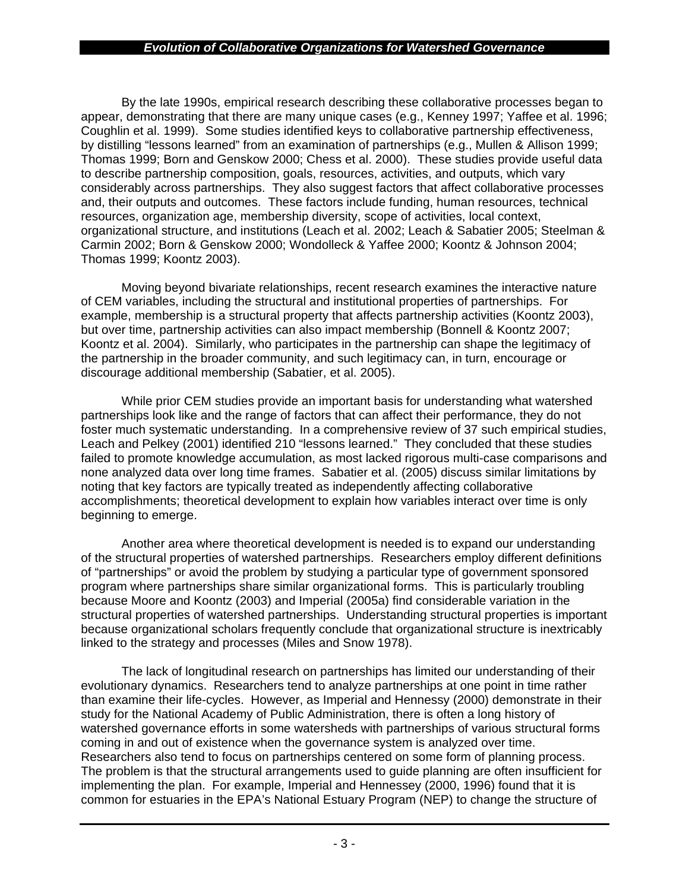By the late 1990s, empirical research describing these collaborative processes began to appear, demonstrating that there are many unique cases (e.g., Kenney 1997; Yaffee et al. 1996; Coughlin et al. 1999). Some studies identified keys to collaborative partnership effectiveness, by distilling "lessons learned" from an examination of partnerships (e.g., Mullen & Allison 1999; Thomas 1999; Born and Genskow 2000; Chess et al. 2000). These studies provide useful data to describe partnership composition, goals, resources, activities, and outputs, which vary considerably across partnerships. They also suggest factors that affect collaborative processes and, their outputs and outcomes. These factors include funding, human resources, technical resources, organization age, membership diversity, scope of activities, local context, organizational structure, and institutions (Leach et al. 2002; Leach & Sabatier 2005; Steelman & Carmin 2002; Born & Genskow 2000; Wondolleck & Yaffee 2000; Koontz & Johnson 2004; Thomas 1999; Koontz 2003).

Moving beyond bivariate relationships, recent research examines the interactive nature of CEM variables, including the structural and institutional properties of partnerships. For example, membership is a structural property that affects partnership activities (Koontz 2003), but over time, partnership activities can also impact membership (Bonnell & Koontz 2007; Koontz et al. 2004). Similarly, who participates in the partnership can shape the legitimacy of the partnership in the broader community, and such legitimacy can, in turn, encourage or discourage additional membership (Sabatier, et al. 2005).

While prior CEM studies provide an important basis for understanding what watershed partnerships look like and the range of factors that can affect their performance, they do not foster much systematic understanding. In a comprehensive review of 37 such empirical studies, Leach and Pelkey (2001) identified 210 "lessons learned." They concluded that these studies failed to promote knowledge accumulation, as most lacked rigorous multi-case comparisons and none analyzed data over long time frames. Sabatier et al. (2005) discuss similar limitations by noting that key factors are typically treated as independently affecting collaborative accomplishments; theoretical development to explain how variables interact over time is only beginning to emerge.

Another area where theoretical development is needed is to expand our understanding of the structural properties of watershed partnerships. Researchers employ different definitions of "partnerships" or avoid the problem by studying a particular type of government sponsored program where partnerships share similar organizational forms. This is particularly troubling because Moore and Koontz (2003) and Imperial (2005a) find considerable variation in the structural properties of watershed partnerships. Understanding structural properties is important because organizational scholars frequently conclude that organizational structure is inextricably linked to the strategy and processes (Miles and Snow 1978).

The lack of longitudinal research on partnerships has limited our understanding of their evolutionary dynamics. Researchers tend to analyze partnerships at one point in time rather than examine their life-cycles. However, as Imperial and Hennessy (2000) demonstrate in their study for the National Academy of Public Administration, there is often a long history of watershed governance efforts in some watersheds with partnerships of various structural forms coming in and out of existence when the governance system is analyzed over time. Researchers also tend to focus on partnerships centered on some form of planning process. The problem is that the structural arrangements used to guide planning are often insufficient for implementing the plan. For example, Imperial and Hennessey (2000, 1996) found that it is common for estuaries in the EPA's National Estuary Program (NEP) to change the structure of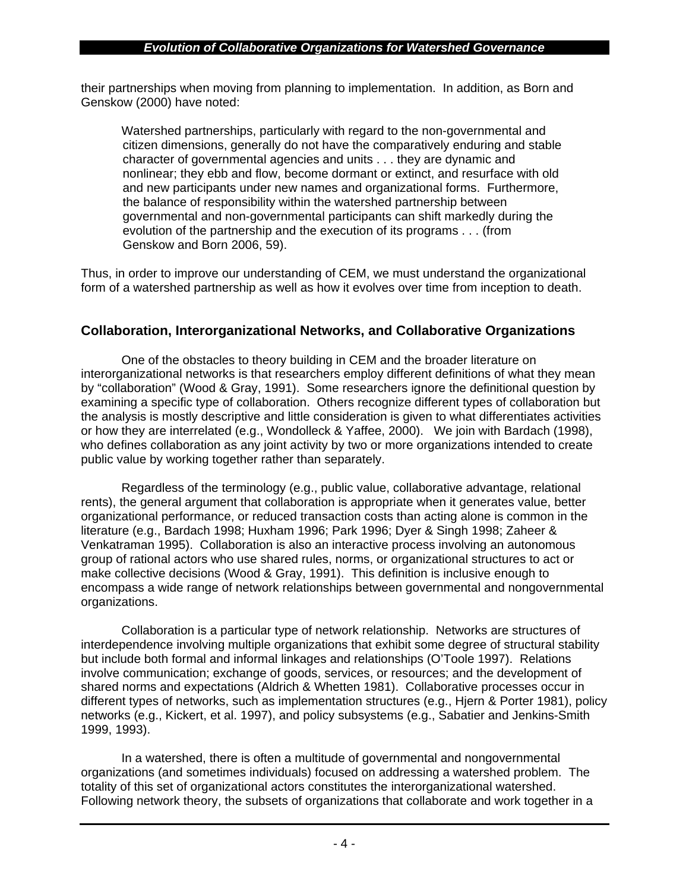their partnerships when moving from planning to implementation. In addition, as Born and Genskow (2000) have noted:

Watershed partnerships, particularly with regard to the non-governmental and citizen dimensions, generally do not have the comparatively enduring and stable character of governmental agencies and units . . . they are dynamic and nonlinear; they ebb and flow, become dormant or extinct, and resurface with old and new participants under new names and organizational forms. Furthermore, the balance of responsibility within the watershed partnership between governmental and non-governmental participants can shift markedly during the evolution of the partnership and the execution of its programs . . . (from Genskow and Born 2006, 59).

Thus, in order to improve our understanding of CEM, we must understand the organizational form of a watershed partnership as well as how it evolves over time from inception to death.

## **Collaboration, Interorganizational Networks, and Collaborative Organizations**

One of the obstacles to theory building in CEM and the broader literature on interorganizational networks is that researchers employ different definitions of what they mean by "collaboration" (Wood & Gray, 1991). Some researchers ignore the definitional question by examining a specific type of collaboration. Others recognize different types of collaboration but the analysis is mostly descriptive and little consideration is given to what differentiates activities or how they are interrelated (e.g., Wondolleck & Yaffee, 2000). We join with Bardach (1998), who defines collaboration as any joint activity by two or more organizations intended to create public value by working together rather than separately.

Regardless of the terminology (e.g., public value, collaborative advantage, relational rents), the general argument that collaboration is appropriate when it generates value, better organizational performance, or reduced transaction costs than acting alone is common in the literature (e.g., Bardach 1998; Huxham 1996; Park 1996; Dyer & Singh 1998; Zaheer & Venkatraman 1995). Collaboration is also an interactive process involving an autonomous group of rational actors who use shared rules, norms, or organizational structures to act or make collective decisions (Wood & Gray, 1991). This definition is inclusive enough to encompass a wide range of network relationships between governmental and nongovernmental organizations.

Collaboration is a particular type of network relationship. Networks are structures of interdependence involving multiple organizations that exhibit some degree of structural stability but include both formal and informal linkages and relationships (O'Toole 1997). Relations involve communication; exchange of goods, services, or resources; and the development of shared norms and expectations (Aldrich & Whetten 1981). Collaborative processes occur in different types of networks, such as implementation structures (e.g., Hjern & Porter 1981), policy networks (e.g., Kickert, et al. 1997), and policy subsystems (e.g., Sabatier and Jenkins-Smith 1999, 1993).

In a watershed, there is often a multitude of governmental and nongovernmental organizations (and sometimes individuals) focused on addressing a watershed problem. The totality of this set of organizational actors constitutes the interorganizational watershed. Following network theory, the subsets of organizations that collaborate and work together in a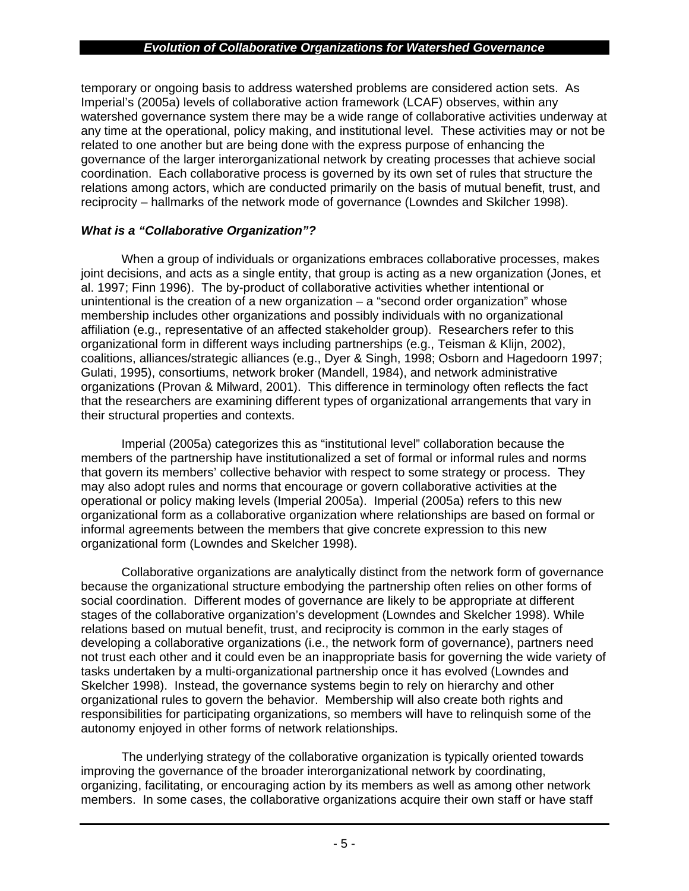temporary or ongoing basis to address watershed problems are considered action sets. As Imperial's (2005a) levels of collaborative action framework (LCAF) observes, within any watershed governance system there may be a wide range of collaborative activities underway at any time at the operational, policy making, and institutional level. These activities may or not be related to one another but are being done with the express purpose of enhancing the governance of the larger interorganizational network by creating processes that achieve social coordination. Each collaborative process is governed by its own set of rules that structure the relations among actors, which are conducted primarily on the basis of mutual benefit, trust, and reciprocity – hallmarks of the network mode of governance (Lowndes and Skilcher 1998).

## *What is a "Collaborative Organization"?*

When a group of individuals or organizations embraces collaborative processes, makes joint decisions, and acts as a single entity, that group is acting as a new organization (Jones, et al. 1997; Finn 1996). The by-product of collaborative activities whether intentional or unintentional is the creation of a new organization – a "second order organization" whose membership includes other organizations and possibly individuals with no organizational affiliation (e.g., representative of an affected stakeholder group). Researchers refer to this organizational form in different ways including partnerships (e.g., Teisman & Klijn, 2002), coalitions, alliances/strategic alliances (e.g., Dyer & Singh, 1998; Osborn and Hagedoorn 1997; Gulati, 1995), consortiums, network broker (Mandell, 1984), and network administrative organizations (Provan & Milward, 2001). This difference in terminology often reflects the fact that the researchers are examining different types of organizational arrangements that vary in their structural properties and contexts.

Imperial (2005a) categorizes this as "institutional level" collaboration because the members of the partnership have institutionalized a set of formal or informal rules and norms that govern its members' collective behavior with respect to some strategy or process. They may also adopt rules and norms that encourage or govern collaborative activities at the operational or policy making levels (Imperial 2005a). Imperial (2005a) refers to this new organizational form as a collaborative organization where relationships are based on formal or informal agreements between the members that give concrete expression to this new organizational form (Lowndes and Skelcher 1998).

Collaborative organizations are analytically distinct from the network form of governance because the organizational structure embodying the partnership often relies on other forms of social coordination. Different modes of governance are likely to be appropriate at different stages of the collaborative organization's development (Lowndes and Skelcher 1998). While relations based on mutual benefit, trust, and reciprocity is common in the early stages of developing a collaborative organizations (i.e., the network form of governance), partners need not trust each other and it could even be an inappropriate basis for governing the wide variety of tasks undertaken by a multi-organizational partnership once it has evolved (Lowndes and Skelcher 1998). Instead, the governance systems begin to rely on hierarchy and other organizational rules to govern the behavior. Membership will also create both rights and responsibilities for participating organizations, so members will have to relinquish some of the autonomy enjoyed in other forms of network relationships.

The underlying strategy of the collaborative organization is typically oriented towards improving the governance of the broader interorganizational network by coordinating, organizing, facilitating, or encouraging action by its members as well as among other network members. In some cases, the collaborative organizations acquire their own staff or have staff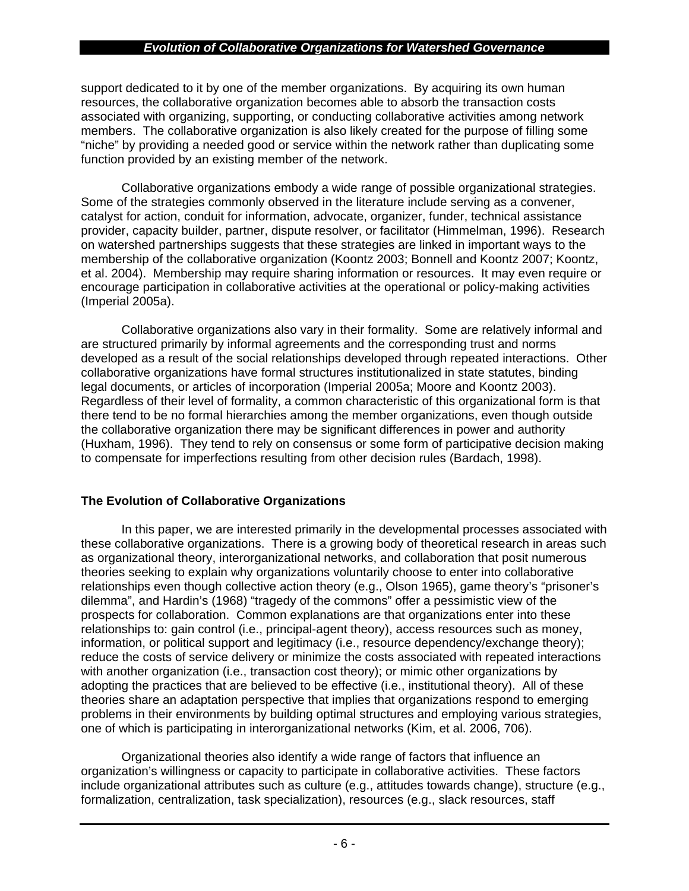support dedicated to it by one of the member organizations. By acquiring its own human resources, the collaborative organization becomes able to absorb the transaction costs associated with organizing, supporting, or conducting collaborative activities among network members. The collaborative organization is also likely created for the purpose of filling some "niche" by providing a needed good or service within the network rather than duplicating some function provided by an existing member of the network.

Collaborative organizations embody a wide range of possible organizational strategies. Some of the strategies commonly observed in the literature include serving as a convener, catalyst for action, conduit for information, advocate, organizer, funder, technical assistance provider, capacity builder, partner, dispute resolver, or facilitator (Himmelman, 1996). Research on watershed partnerships suggests that these strategies are linked in important ways to the membership of the collaborative organization (Koontz 2003; Bonnell and Koontz 2007; Koontz, et al. 2004). Membership may require sharing information or resources. It may even require or encourage participation in collaborative activities at the operational or policy-making activities (Imperial 2005a).

Collaborative organizations also vary in their formality. Some are relatively informal and are structured primarily by informal agreements and the corresponding trust and norms developed as a result of the social relationships developed through repeated interactions. Other collaborative organizations have formal structures institutionalized in state statutes, binding legal documents, or articles of incorporation (Imperial 2005a; Moore and Koontz 2003). Regardless of their level of formality, a common characteristic of this organizational form is that there tend to be no formal hierarchies among the member organizations, even though outside the collaborative organization there may be significant differences in power and authority (Huxham, 1996). They tend to rely on consensus or some form of participative decision making to compensate for imperfections resulting from other decision rules (Bardach, 1998).

## **The Evolution of Collaborative Organizations**

In this paper, we are interested primarily in the developmental processes associated with these collaborative organizations. There is a growing body of theoretical research in areas such as organizational theory, interorganizational networks, and collaboration that posit numerous theories seeking to explain why organizations voluntarily choose to enter into collaborative relationships even though collective action theory (e.g., Olson 1965), game theory's "prisoner's dilemma", and Hardin's (1968) "tragedy of the commons" offer a pessimistic view of the prospects for collaboration. Common explanations are that organizations enter into these relationships to: gain control (i.e., principal-agent theory), access resources such as money, information, or political support and legitimacy (i.e., resource dependency/exchange theory); reduce the costs of service delivery or minimize the costs associated with repeated interactions with another organization (i.e., transaction cost theory); or mimic other organizations by adopting the practices that are believed to be effective (i.e., institutional theory). All of these theories share an adaptation perspective that implies that organizations respond to emerging problems in their environments by building optimal structures and employing various strategies, one of which is participating in interorganizational networks (Kim, et al. 2006, 706).

Organizational theories also identify a wide range of factors that influence an organization's willingness or capacity to participate in collaborative activities. These factors include organizational attributes such as culture (e.g., attitudes towards change), structure (e.g., formalization, centralization, task specialization), resources (e.g., slack resources, staff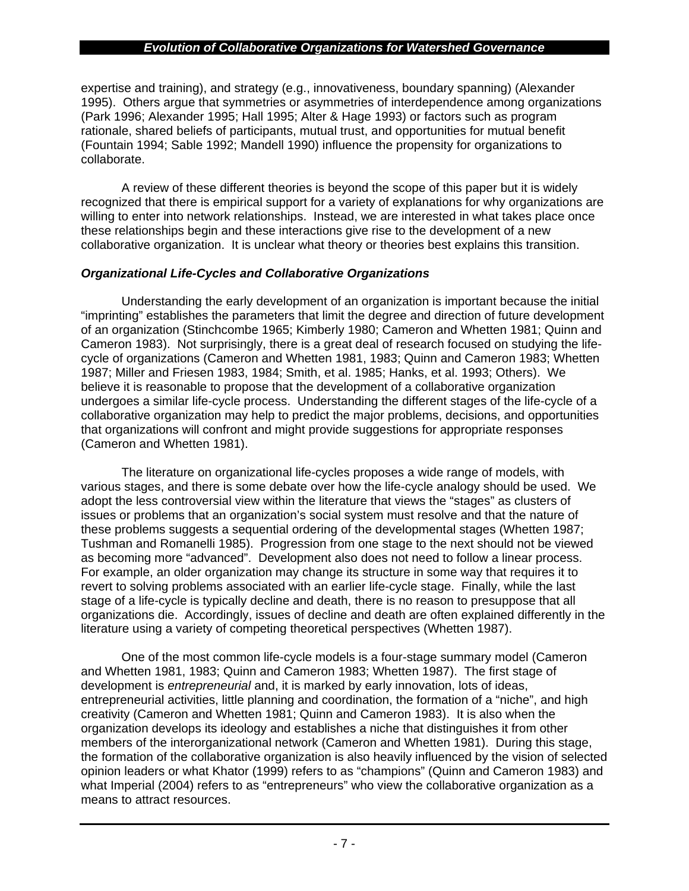expertise and training), and strategy (e.g., innovativeness, boundary spanning) (Alexander 1995). Others argue that symmetries or asymmetries of interdependence among organizations (Park 1996; Alexander 1995; Hall 1995; Alter & Hage 1993) or factors such as program rationale, shared beliefs of participants, mutual trust, and opportunities for mutual benefit (Fountain 1994; Sable 1992; Mandell 1990) influence the propensity for organizations to collaborate.

A review of these different theories is beyond the scope of this paper but it is widely recognized that there is empirical support for a variety of explanations for why organizations are willing to enter into network relationships. Instead, we are interested in what takes place once these relationships begin and these interactions give rise to the development of a new collaborative organization. It is unclear what theory or theories best explains this transition.

## *Organizational Life-Cycles and Collaborative Organizations*

Understanding the early development of an organization is important because the initial "imprinting" establishes the parameters that limit the degree and direction of future development of an organization (Stinchcombe 1965; Kimberly 1980; Cameron and Whetten 1981; Quinn and Cameron 1983). Not surprisingly, there is a great deal of research focused on studying the lifecycle of organizations (Cameron and Whetten 1981, 1983; Quinn and Cameron 1983; Whetten 1987; Miller and Friesen 1983, 1984; Smith, et al. 1985; Hanks, et al. 1993; Others). We believe it is reasonable to propose that the development of a collaborative organization undergoes a similar life-cycle process. Understanding the different stages of the life-cycle of a collaborative organization may help to predict the major problems, decisions, and opportunities that organizations will confront and might provide suggestions for appropriate responses (Cameron and Whetten 1981).

The literature on organizational life-cycles proposes a wide range of models, with various stages, and there is some debate over how the life-cycle analogy should be used. We adopt the less controversial view within the literature that views the "stages" as clusters of issues or problems that an organization's social system must resolve and that the nature of these problems suggests a sequential ordering of the developmental stages (Whetten 1987; Tushman and Romanelli 1985). Progression from one stage to the next should not be viewed as becoming more "advanced". Development also does not need to follow a linear process. For example, an older organization may change its structure in some way that requires it to revert to solving problems associated with an earlier life-cycle stage. Finally, while the last stage of a life-cycle is typically decline and death, there is no reason to presuppose that all organizations die. Accordingly, issues of decline and death are often explained differently in the literature using a variety of competing theoretical perspectives (Whetten 1987).

One of the most common life-cycle models is a four-stage summary model (Cameron and Whetten 1981, 1983; Quinn and Cameron 1983; Whetten 1987). The first stage of development is *entrepreneurial* and, it is marked by early innovation, lots of ideas, entrepreneurial activities, little planning and coordination, the formation of a "niche", and high creativity (Cameron and Whetten 1981; Quinn and Cameron 1983). It is also when the organization develops its ideology and establishes a niche that distinguishes it from other members of the interorganizational network (Cameron and Whetten 1981). During this stage, the formation of the collaborative organization is also heavily influenced by the vision of selected opinion leaders or what Khator (1999) refers to as "champions" (Quinn and Cameron 1983) and what Imperial (2004) refers to as "entrepreneurs" who view the collaborative organization as a means to attract resources.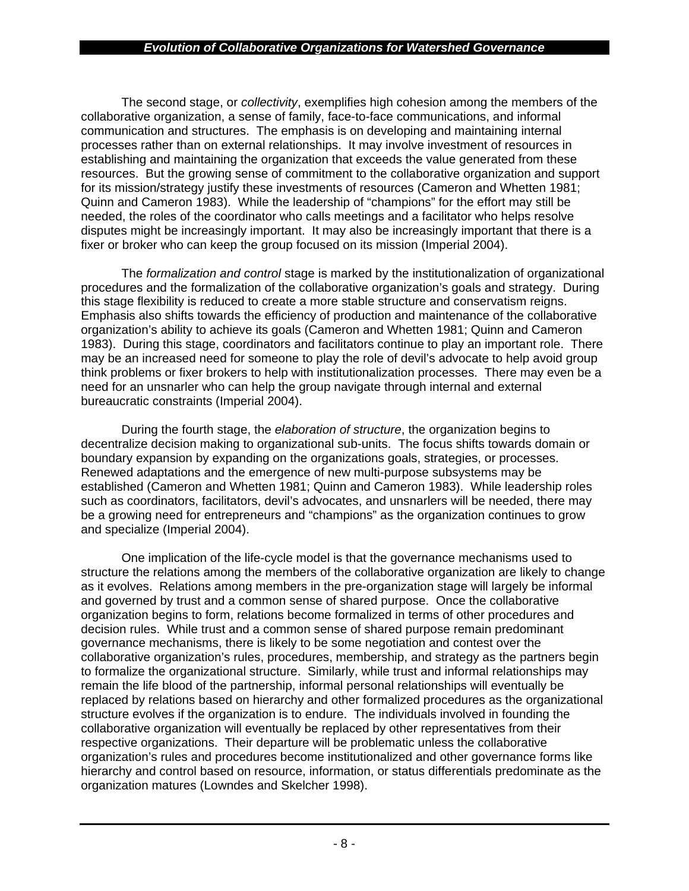The second stage, or *collectivity*, exemplifies high cohesion among the members of the collaborative organization, a sense of family, face-to-face communications, and informal communication and structures. The emphasis is on developing and maintaining internal processes rather than on external relationships. It may involve investment of resources in establishing and maintaining the organization that exceeds the value generated from these resources. But the growing sense of commitment to the collaborative organization and support for its mission/strategy justify these investments of resources (Cameron and Whetten 1981; Quinn and Cameron 1983). While the leadership of "champions" for the effort may still be needed, the roles of the coordinator who calls meetings and a facilitator who helps resolve disputes might be increasingly important. It may also be increasingly important that there is a fixer or broker who can keep the group focused on its mission (Imperial 2004).

The *formalization and control* stage is marked by the institutionalization of organizational procedures and the formalization of the collaborative organization's goals and strategy. During this stage flexibility is reduced to create a more stable structure and conservatism reigns. Emphasis also shifts towards the efficiency of production and maintenance of the collaborative organization's ability to achieve its goals (Cameron and Whetten 1981; Quinn and Cameron 1983). During this stage, coordinators and facilitators continue to play an important role. There may be an increased need for someone to play the role of devil's advocate to help avoid group think problems or fixer brokers to help with institutionalization processes. There may even be a need for an unsnarler who can help the group navigate through internal and external bureaucratic constraints (Imperial 2004).

During the fourth stage, the *elaboration of structure*, the organization begins to decentralize decision making to organizational sub-units. The focus shifts towards domain or boundary expansion by expanding on the organizations goals, strategies, or processes. Renewed adaptations and the emergence of new multi-purpose subsystems may be established (Cameron and Whetten 1981; Quinn and Cameron 1983). While leadership roles such as coordinators, facilitators, devil's advocates, and unsnarlers will be needed, there may be a growing need for entrepreneurs and "champions" as the organization continues to grow and specialize (Imperial 2004).

One implication of the life-cycle model is that the governance mechanisms used to structure the relations among the members of the collaborative organization are likely to change as it evolves. Relations among members in the pre-organization stage will largely be informal and governed by trust and a common sense of shared purpose. Once the collaborative organization begins to form, relations become formalized in terms of other procedures and decision rules. While trust and a common sense of shared purpose remain predominant governance mechanisms, there is likely to be some negotiation and contest over the collaborative organization's rules, procedures, membership, and strategy as the partners begin to formalize the organizational structure. Similarly, while trust and informal relationships may remain the life blood of the partnership, informal personal relationships will eventually be replaced by relations based on hierarchy and other formalized procedures as the organizational structure evolves if the organization is to endure. The individuals involved in founding the collaborative organization will eventually be replaced by other representatives from their respective organizations. Their departure will be problematic unless the collaborative organization's rules and procedures become institutionalized and other governance forms like hierarchy and control based on resource, information, or status differentials predominate as the organization matures (Lowndes and Skelcher 1998).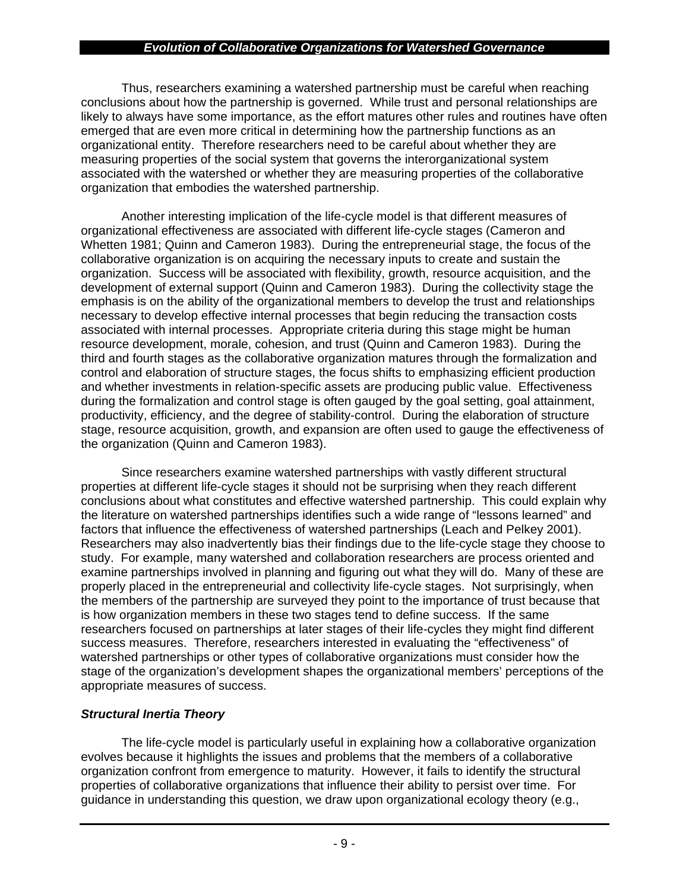Thus, researchers examining a watershed partnership must be careful when reaching conclusions about how the partnership is governed. While trust and personal relationships are likely to always have some importance, as the effort matures other rules and routines have often emerged that are even more critical in determining how the partnership functions as an organizational entity. Therefore researchers need to be careful about whether they are measuring properties of the social system that governs the interorganizational system associated with the watershed or whether they are measuring properties of the collaborative organization that embodies the watershed partnership.

Another interesting implication of the life-cycle model is that different measures of organizational effectiveness are associated with different life-cycle stages (Cameron and Whetten 1981; Quinn and Cameron 1983). During the entrepreneurial stage, the focus of the collaborative organization is on acquiring the necessary inputs to create and sustain the organization. Success will be associated with flexibility, growth, resource acquisition, and the development of external support (Quinn and Cameron 1983). During the collectivity stage the emphasis is on the ability of the organizational members to develop the trust and relationships necessary to develop effective internal processes that begin reducing the transaction costs associated with internal processes. Appropriate criteria during this stage might be human resource development, morale, cohesion, and trust (Quinn and Cameron 1983). During the third and fourth stages as the collaborative organization matures through the formalization and control and elaboration of structure stages, the focus shifts to emphasizing efficient production and whether investments in relation-specific assets are producing public value. Effectiveness during the formalization and control stage is often gauged by the goal setting, goal attainment, productivity, efficiency, and the degree of stability-control. During the elaboration of structure stage, resource acquisition, growth, and expansion are often used to gauge the effectiveness of the organization (Quinn and Cameron 1983).

Since researchers examine watershed partnerships with vastly different structural properties at different life-cycle stages it should not be surprising when they reach different conclusions about what constitutes and effective watershed partnership. This could explain why the literature on watershed partnerships identifies such a wide range of "lessons learned" and factors that influence the effectiveness of watershed partnerships (Leach and Pelkey 2001). Researchers may also inadvertently bias their findings due to the life-cycle stage they choose to study. For example, many watershed and collaboration researchers are process oriented and examine partnerships involved in planning and figuring out what they will do. Many of these are properly placed in the entrepreneurial and collectivity life-cycle stages. Not surprisingly, when the members of the partnership are surveyed they point to the importance of trust because that is how organization members in these two stages tend to define success. If the same researchers focused on partnerships at later stages of their life-cycles they might find different success measures. Therefore, researchers interested in evaluating the "effectiveness" of watershed partnerships or other types of collaborative organizations must consider how the stage of the organization's development shapes the organizational members' perceptions of the appropriate measures of success.

## *Structural Inertia Theory*

The life-cycle model is particularly useful in explaining how a collaborative organization evolves because it highlights the issues and problems that the members of a collaborative organization confront from emergence to maturity. However, it fails to identify the structural properties of collaborative organizations that influence their ability to persist over time. For guidance in understanding this question, we draw upon organizational ecology theory (e.g.,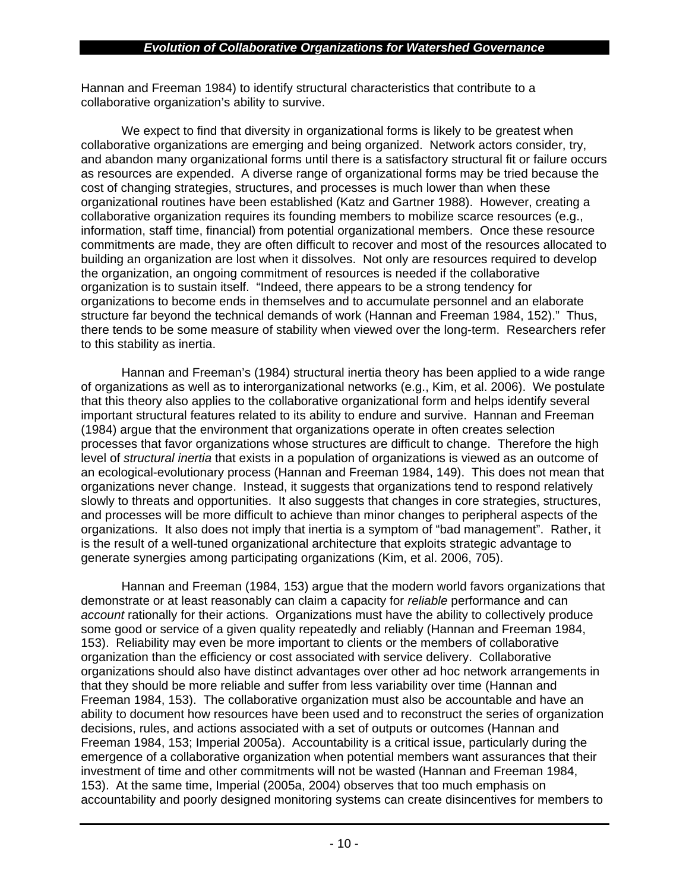Hannan and Freeman 1984) to identify structural characteristics that contribute to a collaborative organization's ability to survive.

We expect to find that diversity in organizational forms is likely to be greatest when collaborative organizations are emerging and being organized. Network actors consider, try, and abandon many organizational forms until there is a satisfactory structural fit or failure occurs as resources are expended. A diverse range of organizational forms may be tried because the cost of changing strategies, structures, and processes is much lower than when these organizational routines have been established (Katz and Gartner 1988). However, creating a collaborative organization requires its founding members to mobilize scarce resources (e.g., information, staff time, financial) from potential organizational members. Once these resource commitments are made, they are often difficult to recover and most of the resources allocated to building an organization are lost when it dissolves. Not only are resources required to develop the organization, an ongoing commitment of resources is needed if the collaborative organization is to sustain itself. "Indeed, there appears to be a strong tendency for organizations to become ends in themselves and to accumulate personnel and an elaborate structure far beyond the technical demands of work (Hannan and Freeman 1984, 152)." Thus, there tends to be some measure of stability when viewed over the long-term. Researchers refer to this stability as inertia.

Hannan and Freeman's (1984) structural inertia theory has been applied to a wide range of organizations as well as to interorganizational networks (e.g., Kim, et al. 2006). We postulate that this theory also applies to the collaborative organizational form and helps identify several important structural features related to its ability to endure and survive. Hannan and Freeman (1984) argue that the environment that organizations operate in often creates selection processes that favor organizations whose structures are difficult to change. Therefore the high level of *structural inertia* that exists in a population of organizations is viewed as an outcome of an ecological-evolutionary process (Hannan and Freeman 1984, 149). This does not mean that organizations never change. Instead, it suggests that organizations tend to respond relatively slowly to threats and opportunities. It also suggests that changes in core strategies, structures, and processes will be more difficult to achieve than minor changes to peripheral aspects of the organizations. It also does not imply that inertia is a symptom of "bad management". Rather, it is the result of a well-tuned organizational architecture that exploits strategic advantage to generate synergies among participating organizations (Kim, et al. 2006, 705).

Hannan and Freeman (1984, 153) argue that the modern world favors organizations that demonstrate or at least reasonably can claim a capacity for *reliable* performance and can *account* rationally for their actions. Organizations must have the ability to collectively produce some good or service of a given quality repeatedly and reliably (Hannan and Freeman 1984, 153). Reliability may even be more important to clients or the members of collaborative organization than the efficiency or cost associated with service delivery. Collaborative organizations should also have distinct advantages over other ad hoc network arrangements in that they should be more reliable and suffer from less variability over time (Hannan and Freeman 1984, 153). The collaborative organization must also be accountable and have an ability to document how resources have been used and to reconstruct the series of organization decisions, rules, and actions associated with a set of outputs or outcomes (Hannan and Freeman 1984, 153; Imperial 2005a). Accountability is a critical issue, particularly during the emergence of a collaborative organization when potential members want assurances that their investment of time and other commitments will not be wasted (Hannan and Freeman 1984, 153). At the same time, Imperial (2005a, 2004) observes that too much emphasis on accountability and poorly designed monitoring systems can create disincentives for members to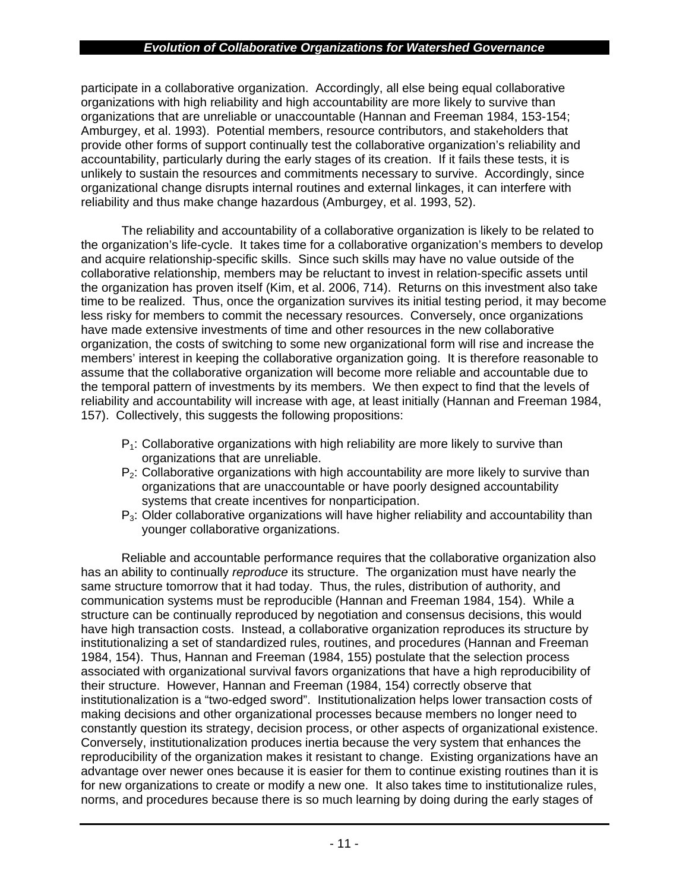participate in a collaborative organization. Accordingly, all else being equal collaborative organizations with high reliability and high accountability are more likely to survive than organizations that are unreliable or unaccountable (Hannan and Freeman 1984, 153-154; Amburgey, et al. 1993). Potential members, resource contributors, and stakeholders that provide other forms of support continually test the collaborative organization's reliability and accountability, particularly during the early stages of its creation. If it fails these tests, it is unlikely to sustain the resources and commitments necessary to survive. Accordingly, since organizational change disrupts internal routines and external linkages, it can interfere with reliability and thus make change hazardous (Amburgey, et al. 1993, 52).

The reliability and accountability of a collaborative organization is likely to be related to the organization's life-cycle. It takes time for a collaborative organization's members to develop and acquire relationship-specific skills. Since such skills may have no value outside of the collaborative relationship, members may be reluctant to invest in relation-specific assets until the organization has proven itself (Kim, et al. 2006, 714). Returns on this investment also take time to be realized. Thus, once the organization survives its initial testing period, it may become less risky for members to commit the necessary resources. Conversely, once organizations have made extensive investments of time and other resources in the new collaborative organization, the costs of switching to some new organizational form will rise and increase the members' interest in keeping the collaborative organization going. It is therefore reasonable to assume that the collaborative organization will become more reliable and accountable due to the temporal pattern of investments by its members. We then expect to find that the levels of reliability and accountability will increase with age, at least initially (Hannan and Freeman 1984, 157). Collectively, this suggests the following propositions:

- $P_1$ : Collaborative organizations with high reliability are more likely to survive than organizations that are unreliable.
- $P<sub>2</sub>$ : Collaborative organizations with high accountability are more likely to survive than organizations that are unaccountable or have poorly designed accountability systems that create incentives for nonparticipation.
- $P_3$ : Older collaborative organizations will have higher reliability and accountability than younger collaborative organizations.

Reliable and accountable performance requires that the collaborative organization also has an ability to continually *reproduce* its structure. The organization must have nearly the same structure tomorrow that it had today. Thus, the rules, distribution of authority, and communication systems must be reproducible (Hannan and Freeman 1984, 154). While a structure can be continually reproduced by negotiation and consensus decisions, this would have high transaction costs. Instead, a collaborative organization reproduces its structure by institutionalizing a set of standardized rules, routines, and procedures (Hannan and Freeman 1984, 154). Thus, Hannan and Freeman (1984, 155) postulate that the selection process associated with organizational survival favors organizations that have a high reproducibility of their structure. However, Hannan and Freeman (1984, 154) correctly observe that institutionalization is a "two-edged sword". Institutionalization helps lower transaction costs of making decisions and other organizational processes because members no longer need to constantly question its strategy, decision process, or other aspects of organizational existence. Conversely, institutionalization produces inertia because the very system that enhances the reproducibility of the organization makes it resistant to change. Existing organizations have an advantage over newer ones because it is easier for them to continue existing routines than it is for new organizations to create or modify a new one. It also takes time to institutionalize rules, norms, and procedures because there is so much learning by doing during the early stages of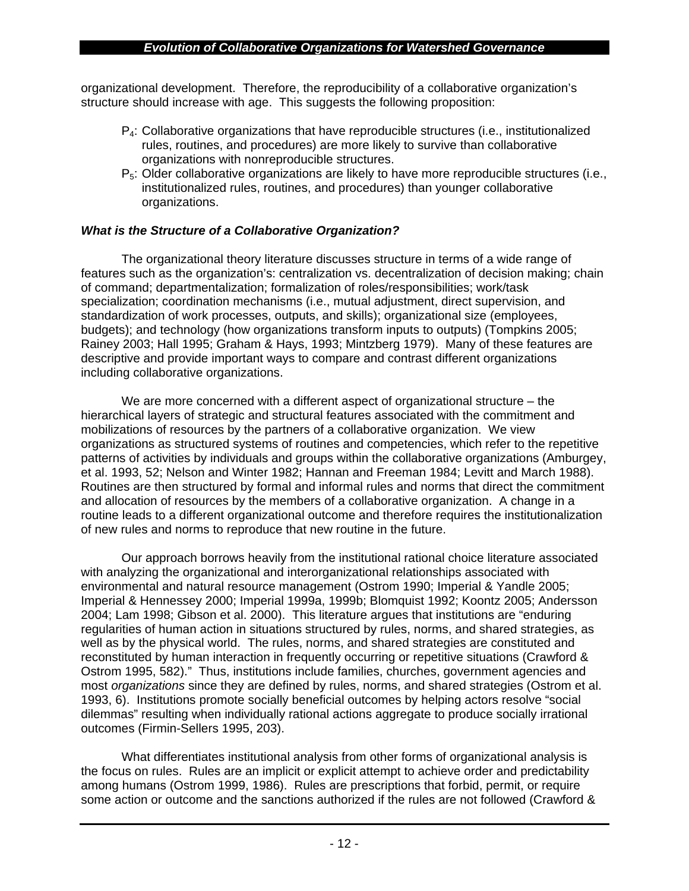organizational development. Therefore, the reproducibility of a collaborative organization's structure should increase with age. This suggests the following proposition:

- $P<sub>4</sub>$ : Collaborative organizations that have reproducible structures (i.e., institutionalized rules, routines, and procedures) are more likely to survive than collaborative organizations with nonreproducible structures.
- $P_5$ : Older collaborative organizations are likely to have more reproducible structures (i.e., institutionalized rules, routines, and procedures) than younger collaborative organizations.

## *What is the Structure of a Collaborative Organization?*

The organizational theory literature discusses structure in terms of a wide range of features such as the organization's: centralization vs. decentralization of decision making; chain of command; departmentalization; formalization of roles/responsibilities; work/task specialization; coordination mechanisms (i.e., mutual adjustment, direct supervision, and standardization of work processes, outputs, and skills); organizational size (employees, budgets); and technology (how organizations transform inputs to outputs) (Tompkins 2005; Rainey 2003; Hall 1995; Graham & Hays, 1993; Mintzberg 1979). Many of these features are descriptive and provide important ways to compare and contrast different organizations including collaborative organizations.

We are more concerned with a different aspect of organizational structure – the hierarchical layers of strategic and structural features associated with the commitment and mobilizations of resources by the partners of a collaborative organization. We view organizations as structured systems of routines and competencies, which refer to the repetitive patterns of activities by individuals and groups within the collaborative organizations (Amburgey, et al. 1993, 52; Nelson and Winter 1982; Hannan and Freeman 1984; Levitt and March 1988). Routines are then structured by formal and informal rules and norms that direct the commitment and allocation of resources by the members of a collaborative organization. A change in a routine leads to a different organizational outcome and therefore requires the institutionalization of new rules and norms to reproduce that new routine in the future.

Our approach borrows heavily from the institutional rational choice literature associated with analyzing the organizational and interorganizational relationships associated with environmental and natural resource management (Ostrom 1990; Imperial & Yandle 2005; Imperial & Hennessey 2000; Imperial 1999a, 1999b; Blomquist 1992; Koontz 2005; Andersson 2004; Lam 1998; Gibson et al. 2000). This literature argues that institutions are "enduring regularities of human action in situations structured by rules, norms, and shared strategies, as well as by the physical world. The rules, norms, and shared strategies are constituted and reconstituted by human interaction in frequently occurring or repetitive situations (Crawford & Ostrom 1995, 582)." Thus, institutions include families, churches, government agencies and most *organizations* since they are defined by rules, norms, and shared strategies (Ostrom et al. 1993, 6). Institutions promote socially beneficial outcomes by helping actors resolve "social dilemmas" resulting when individually rational actions aggregate to produce socially irrational outcomes (Firmin-Sellers 1995, 203).

What differentiates institutional analysis from other forms of organizational analysis is the focus on rules. Rules are an implicit or explicit attempt to achieve order and predictability among humans (Ostrom 1999, 1986). Rules are prescriptions that forbid, permit, or require some action or outcome and the sanctions authorized if the rules are not followed (Crawford &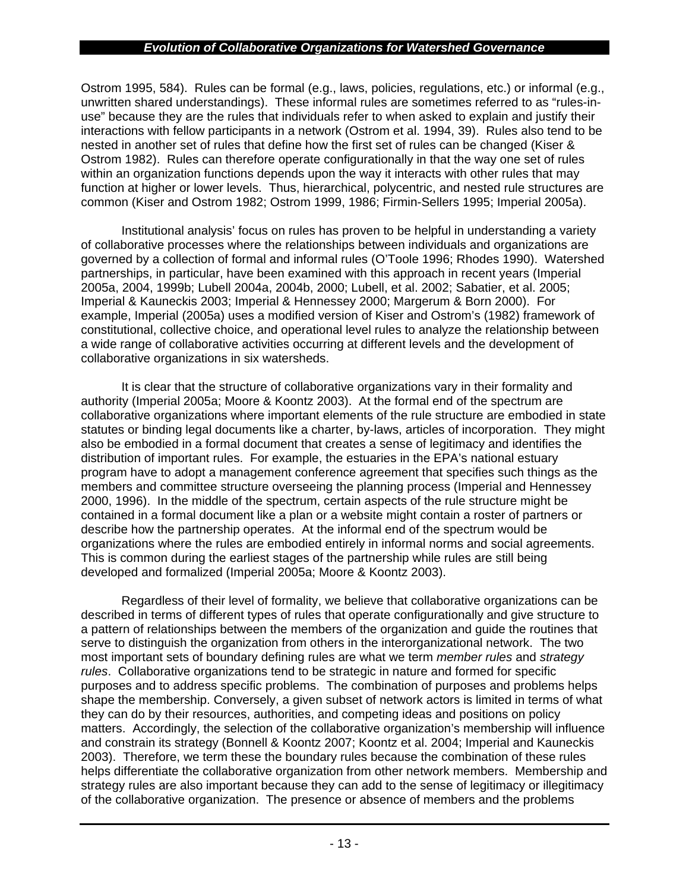Ostrom 1995, 584). Rules can be formal (e.g., laws, policies, regulations, etc.) or informal (e.g., unwritten shared understandings). These informal rules are sometimes referred to as "rules-inuse" because they are the rules that individuals refer to when asked to explain and justify their interactions with fellow participants in a network (Ostrom et al. 1994, 39). Rules also tend to be nested in another set of rules that define how the first set of rules can be changed (Kiser & Ostrom 1982). Rules can therefore operate configurationally in that the way one set of rules within an organization functions depends upon the way it interacts with other rules that may function at higher or lower levels. Thus, hierarchical, polycentric, and nested rule structures are common (Kiser and Ostrom 1982; Ostrom 1999, 1986; Firmin-Sellers 1995; Imperial 2005a).

Institutional analysis' focus on rules has proven to be helpful in understanding a variety of collaborative processes where the relationships between individuals and organizations are governed by a collection of formal and informal rules (O'Toole 1996; Rhodes 1990). Watershed partnerships, in particular, have been examined with this approach in recent years (Imperial 2005a, 2004, 1999b; Lubell 2004a, 2004b, 2000; Lubell, et al. 2002; Sabatier, et al. 2005; Imperial & Kauneckis 2003; Imperial & Hennessey 2000; Margerum & Born 2000). For example, Imperial (2005a) uses a modified version of Kiser and Ostrom's (1982) framework of constitutional, collective choice, and operational level rules to analyze the relationship between a wide range of collaborative activities occurring at different levels and the development of collaborative organizations in six watersheds.

It is clear that the structure of collaborative organizations vary in their formality and authority (Imperial 2005a; Moore & Koontz 2003). At the formal end of the spectrum are collaborative organizations where important elements of the rule structure are embodied in state statutes or binding legal documents like a charter, by-laws, articles of incorporation. They might also be embodied in a formal document that creates a sense of legitimacy and identifies the distribution of important rules. For example, the estuaries in the EPA's national estuary program have to adopt a management conference agreement that specifies such things as the members and committee structure overseeing the planning process (Imperial and Hennessey 2000, 1996). In the middle of the spectrum, certain aspects of the rule structure might be contained in a formal document like a plan or a website might contain a roster of partners or describe how the partnership operates. At the informal end of the spectrum would be organizations where the rules are embodied entirely in informal norms and social agreements. This is common during the earliest stages of the partnership while rules are still being developed and formalized (Imperial 2005a; Moore & Koontz 2003).

Regardless of their level of formality, we believe that collaborative organizations can be described in terms of different types of rules that operate configurationally and give structure to a pattern of relationships between the members of the organization and guide the routines that serve to distinguish the organization from others in the interorganizational network. The two most important sets of boundary defining rules are what we term *member rules* and *strategy rules*. Collaborative organizations tend to be strategic in nature and formed for specific purposes and to address specific problems. The combination of purposes and problems helps shape the membership. Conversely, a given subset of network actors is limited in terms of what they can do by their resources, authorities, and competing ideas and positions on policy matters. Accordingly, the selection of the collaborative organization's membership will influence and constrain its strategy (Bonnell & Koontz 2007; Koontz et al. 2004; Imperial and Kauneckis 2003). Therefore, we term these the boundary rules because the combination of these rules helps differentiate the collaborative organization from other network members. Membership and strategy rules are also important because they can add to the sense of legitimacy or illegitimacy of the collaborative organization. The presence or absence of members and the problems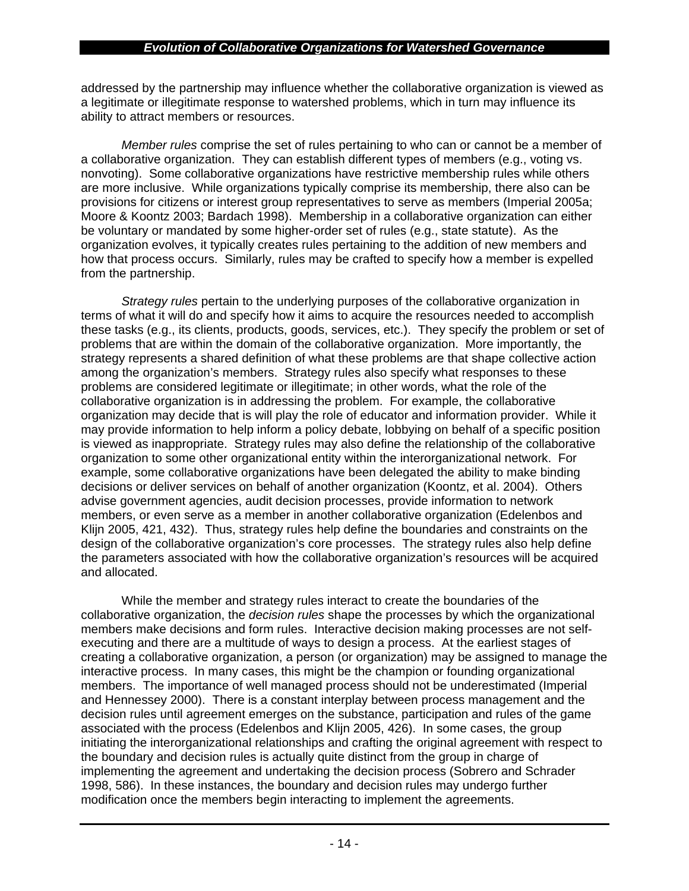addressed by the partnership may influence whether the collaborative organization is viewed as a legitimate or illegitimate response to watershed problems, which in turn may influence its ability to attract members or resources.

*Member rules* comprise the set of rules pertaining to who can or cannot be a member of a collaborative organization. They can establish different types of members (e.g., voting vs. nonvoting). Some collaborative organizations have restrictive membership rules while others are more inclusive. While organizations typically comprise its membership, there also can be provisions for citizens or interest group representatives to serve as members (Imperial 2005a; Moore & Koontz 2003; Bardach 1998). Membership in a collaborative organization can either be voluntary or mandated by some higher-order set of rules (e.g., state statute). As the organization evolves, it typically creates rules pertaining to the addition of new members and how that process occurs. Similarly, rules may be crafted to specify how a member is expelled from the partnership.

*Strategy rules* pertain to the underlying purposes of the collaborative organization in terms of what it will do and specify how it aims to acquire the resources needed to accomplish these tasks (e.g., its clients, products, goods, services, etc.). They specify the problem or set of problems that are within the domain of the collaborative organization. More importantly, the strategy represents a shared definition of what these problems are that shape collective action among the organization's members. Strategy rules also specify what responses to these problems are considered legitimate or illegitimate; in other words, what the role of the collaborative organization is in addressing the problem. For example, the collaborative organization may decide that is will play the role of educator and information provider. While it may provide information to help inform a policy debate, lobbying on behalf of a specific position is viewed as inappropriate. Strategy rules may also define the relationship of the collaborative organization to some other organizational entity within the interorganizational network. For example, some collaborative organizations have been delegated the ability to make binding decisions or deliver services on behalf of another organization (Koontz, et al. 2004). Others advise government agencies, audit decision processes, provide information to network members, or even serve as a member in another collaborative organization (Edelenbos and Klijn 2005, 421, 432). Thus, strategy rules help define the boundaries and constraints on the design of the collaborative organization's core processes. The strategy rules also help define the parameters associated with how the collaborative organization's resources will be acquired and allocated.

While the member and strategy rules interact to create the boundaries of the collaborative organization, the *decision rules* shape the processes by which the organizational members make decisions and form rules. Interactive decision making processes are not selfexecuting and there are a multitude of ways to design a process. At the earliest stages of creating a collaborative organization, a person (or organization) may be assigned to manage the interactive process. In many cases, this might be the champion or founding organizational members. The importance of well managed process should not be underestimated (Imperial and Hennessey 2000). There is a constant interplay between process management and the decision rules until agreement emerges on the substance, participation and rules of the game associated with the process (Edelenbos and Klijn 2005, 426). In some cases, the group initiating the interorganizational relationships and crafting the original agreement with respect to the boundary and decision rules is actually quite distinct from the group in charge of implementing the agreement and undertaking the decision process (Sobrero and Schrader 1998, 586). In these instances, the boundary and decision rules may undergo further modification once the members begin interacting to implement the agreements.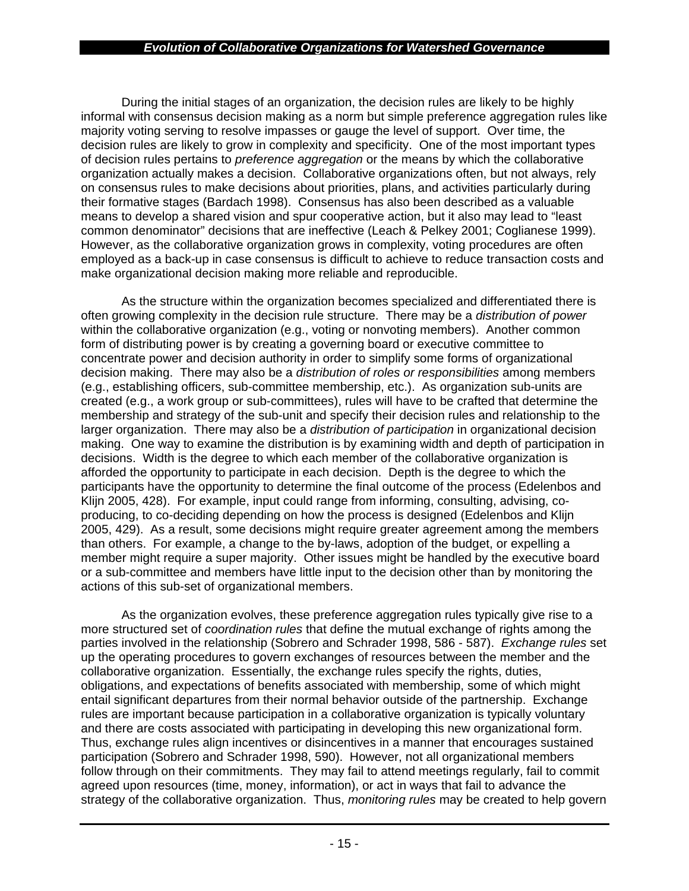During the initial stages of an organization, the decision rules are likely to be highly informal with consensus decision making as a norm but simple preference aggregation rules like majority voting serving to resolve impasses or gauge the level of support. Over time, the decision rules are likely to grow in complexity and specificity. One of the most important types of decision rules pertains to *preference aggregation* or the means by which the collaborative organization actually makes a decision. Collaborative organizations often, but not always, rely on consensus rules to make decisions about priorities, plans, and activities particularly during their formative stages (Bardach 1998). Consensus has also been described as a valuable means to develop a shared vision and spur cooperative action, but it also may lead to "least common denominator" decisions that are ineffective (Leach & Pelkey 2001; Coglianese 1999). However, as the collaborative organization grows in complexity, voting procedures are often employed as a back-up in case consensus is difficult to achieve to reduce transaction costs and make organizational decision making more reliable and reproducible.

As the structure within the organization becomes specialized and differentiated there is often growing complexity in the decision rule structure. There may be a *distribution of power* within the collaborative organization (e.g., voting or nonvoting members). Another common form of distributing power is by creating a governing board or executive committee to concentrate power and decision authority in order to simplify some forms of organizational decision making. There may also be a *distribution of roles or responsibilities* among members (e.g., establishing officers, sub-committee membership, etc.). As organization sub-units are created (e.g., a work group or sub-committees), rules will have to be crafted that determine the membership and strategy of the sub-unit and specify their decision rules and relationship to the larger organization. There may also be a *distribution of participation* in organizational decision making. One way to examine the distribution is by examining width and depth of participation in decisions. Width is the degree to which each member of the collaborative organization is afforded the opportunity to participate in each decision. Depth is the degree to which the participants have the opportunity to determine the final outcome of the process (Edelenbos and Klijn 2005, 428). For example, input could range from informing, consulting, advising, coproducing, to co-deciding depending on how the process is designed (Edelenbos and Klijn 2005, 429). As a result, some decisions might require greater agreement among the members than others. For example, a change to the by-laws, adoption of the budget, or expelling a member might require a super majority. Other issues might be handled by the executive board or a sub-committee and members have little input to the decision other than by monitoring the actions of this sub-set of organizational members.

As the organization evolves, these preference aggregation rules typically give rise to a more structured set of *coordination rules* that define the mutual exchange of rights among the parties involved in the relationship (Sobrero and Schrader 1998, 586 - 587). *Exchange rules* set up the operating procedures to govern exchanges of resources between the member and the collaborative organization. Essentially, the exchange rules specify the rights, duties, obligations, and expectations of benefits associated with membership, some of which might entail significant departures from their normal behavior outside of the partnership. Exchange rules are important because participation in a collaborative organization is typically voluntary and there are costs associated with participating in developing this new organizational form. Thus, exchange rules align incentives or disincentives in a manner that encourages sustained participation (Sobrero and Schrader 1998, 590). However, not all organizational members follow through on their commitments. They may fail to attend meetings regularly, fail to commit agreed upon resources (time, money, information), or act in ways that fail to advance the strategy of the collaborative organization. Thus, *monitoring rules* may be created to help govern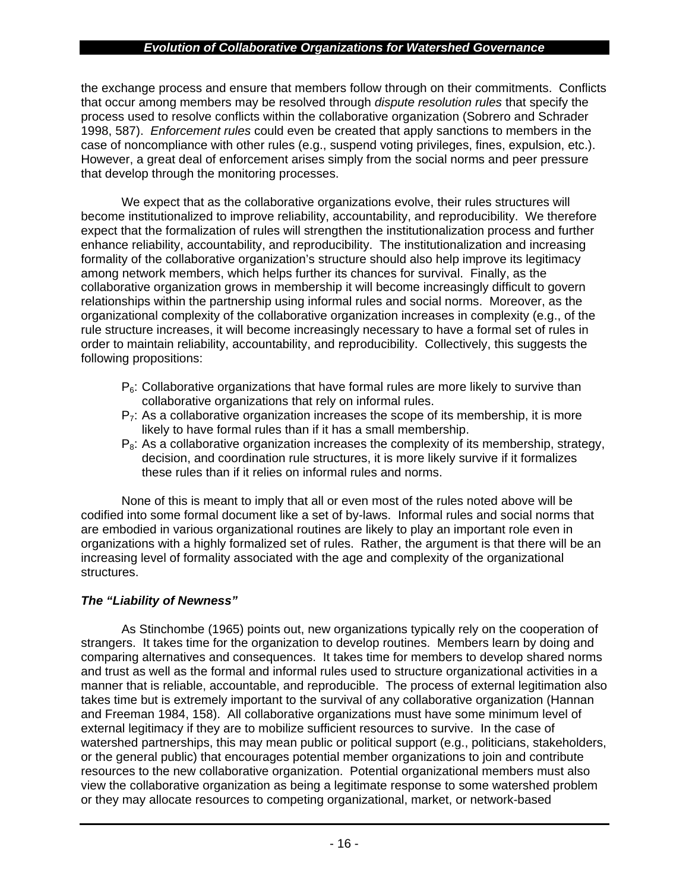the exchange process and ensure that members follow through on their commitments. Conflicts that occur among members may be resolved through *dispute resolution rules* that specify the process used to resolve conflicts within the collaborative organization (Sobrero and Schrader 1998, 587). *Enforcement rules* could even be created that apply sanctions to members in the case of noncompliance with other rules (e.g., suspend voting privileges, fines, expulsion, etc.). However, a great deal of enforcement arises simply from the social norms and peer pressure that develop through the monitoring processes.

We expect that as the collaborative organizations evolve, their rules structures will become institutionalized to improve reliability, accountability, and reproducibility. We therefore expect that the formalization of rules will strengthen the institutionalization process and further enhance reliability, accountability, and reproducibility. The institutionalization and increasing formality of the collaborative organization's structure should also help improve its legitimacy among network members, which helps further its chances for survival. Finally, as the collaborative organization grows in membership it will become increasingly difficult to govern relationships within the partnership using informal rules and social norms. Moreover, as the organizational complexity of the collaborative organization increases in complexity (e.g., of the rule structure increases, it will become increasingly necessary to have a formal set of rules in order to maintain reliability, accountability, and reproducibility. Collectively, this suggests the following propositions:

- $P_6$ : Collaborative organizations that have formal rules are more likely to survive than collaborative organizations that rely on informal rules.
- $P_7$ : As a collaborative organization increases the scope of its membership, it is more likely to have formal rules than if it has a small membership.
- $P_8$ : As a collaborative organization increases the complexity of its membership, strategy, decision, and coordination rule structures, it is more likely survive if it formalizes these rules than if it relies on informal rules and norms.

None of this is meant to imply that all or even most of the rules noted above will be codified into some formal document like a set of by-laws. Informal rules and social norms that are embodied in various organizational routines are likely to play an important role even in organizations with a highly formalized set of rules. Rather, the argument is that there will be an increasing level of formality associated with the age and complexity of the organizational structures.

## *The "Liability of Newness"*

As Stinchombe (1965) points out, new organizations typically rely on the cooperation of strangers. It takes time for the organization to develop routines. Members learn by doing and comparing alternatives and consequences. It takes time for members to develop shared norms and trust as well as the formal and informal rules used to structure organizational activities in a manner that is reliable, accountable, and reproducible. The process of external legitimation also takes time but is extremely important to the survival of any collaborative organization (Hannan and Freeman 1984, 158). All collaborative organizations must have some minimum level of external legitimacy if they are to mobilize sufficient resources to survive. In the case of watershed partnerships, this may mean public or political support (e.g., politicians, stakeholders, or the general public) that encourages potential member organizations to join and contribute resources to the new collaborative organization. Potential organizational members must also view the collaborative organization as being a legitimate response to some watershed problem or they may allocate resources to competing organizational, market, or network-based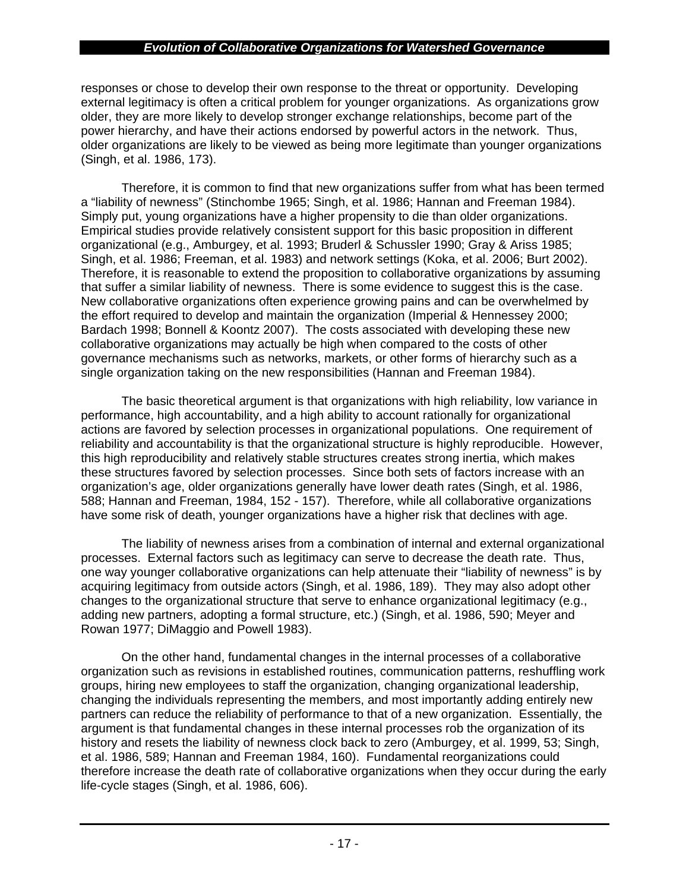responses or chose to develop their own response to the threat or opportunity. Developing external legitimacy is often a critical problem for younger organizations. As organizations grow older, they are more likely to develop stronger exchange relationships, become part of the power hierarchy, and have their actions endorsed by powerful actors in the network. Thus, older organizations are likely to be viewed as being more legitimate than younger organizations (Singh, et al. 1986, 173).

Therefore, it is common to find that new organizations suffer from what has been termed a "liability of newness" (Stinchombe 1965; Singh, et al. 1986; Hannan and Freeman 1984). Simply put, young organizations have a higher propensity to die than older organizations. Empirical studies provide relatively consistent support for this basic proposition in different organizational (e.g., Amburgey, et al. 1993; Bruderl & Schussler 1990; Gray & Ariss 1985; Singh, et al. 1986; Freeman, et al. 1983) and network settings (Koka, et al. 2006; Burt 2002). Therefore, it is reasonable to extend the proposition to collaborative organizations by assuming that suffer a similar liability of newness. There is some evidence to suggest this is the case. New collaborative organizations often experience growing pains and can be overwhelmed by the effort required to develop and maintain the organization (Imperial & Hennessey 2000; Bardach 1998; Bonnell & Koontz 2007). The costs associated with developing these new collaborative organizations may actually be high when compared to the costs of other governance mechanisms such as networks, markets, or other forms of hierarchy such as a single organization taking on the new responsibilities (Hannan and Freeman 1984).

The basic theoretical argument is that organizations with high reliability, low variance in performance, high accountability, and a high ability to account rationally for organizational actions are favored by selection processes in organizational populations. One requirement of reliability and accountability is that the organizational structure is highly reproducible. However, this high reproducibility and relatively stable structures creates strong inertia, which makes these structures favored by selection processes. Since both sets of factors increase with an organization's age, older organizations generally have lower death rates (Singh, et al. 1986, 588; Hannan and Freeman, 1984, 152 - 157). Therefore, while all collaborative organizations have some risk of death, younger organizations have a higher risk that declines with age.

The liability of newness arises from a combination of internal and external organizational processes. External factors such as legitimacy can serve to decrease the death rate. Thus, one way younger collaborative organizations can help attenuate their "liability of newness" is by acquiring legitimacy from outside actors (Singh, et al. 1986, 189). They may also adopt other changes to the organizational structure that serve to enhance organizational legitimacy (e.g., adding new partners, adopting a formal structure, etc.) (Singh, et al. 1986, 590; Meyer and Rowan 1977; DiMaggio and Powell 1983).

On the other hand, fundamental changes in the internal processes of a collaborative organization such as revisions in established routines, communication patterns, reshuffling work groups, hiring new employees to staff the organization, changing organizational leadership, changing the individuals representing the members, and most importantly adding entirely new partners can reduce the reliability of performance to that of a new organization. Essentially, the argument is that fundamental changes in these internal processes rob the organization of its history and resets the liability of newness clock back to zero (Amburgey, et al. 1999, 53; Singh, et al. 1986, 589; Hannan and Freeman 1984, 160). Fundamental reorganizations could therefore increase the death rate of collaborative organizations when they occur during the early life-cycle stages (Singh, et al. 1986, 606).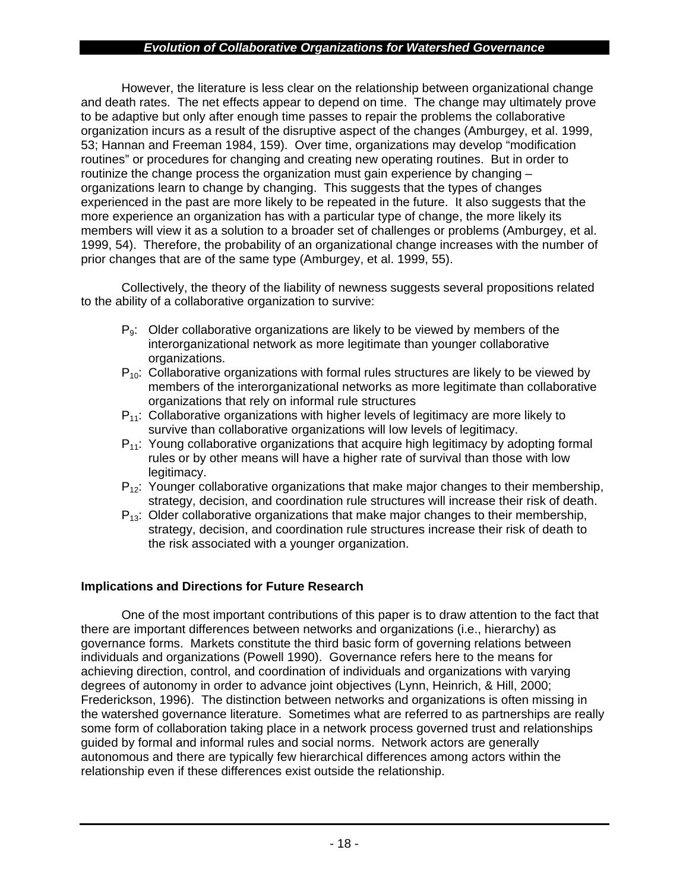However, the literature is less clear on the relationship between organizational change and death rates. The net effects appear to depend on time. The change may ultimately prove to be adaptive but only after enough time passes to repair the problems the collaborative organization incurs as a result of the disruptive aspect of the changes (Amburgey, et al. 1999, 53; Hannan and Freeman 1984, 159). Over time, organizations may develop "modification routines" or procedures for changing and creating new operating routines. But in order to routinize the change process the organization must gain experience by changing – organizations learn to change by changing. This suggests that the types of changes experienced in the past are more likely to be repeated in the future. It also suggests that the more experience an organization has with a particular type of change, the more likely its members will view it as a solution to a broader set of challenges or problems (Amburgey, et al. 1999, 54). Therefore, the probability of an organizational change increases with the number of prior changes that are of the same type (Amburgey, et al. 1999, 55).

Collectively, the theory of the liability of newness suggests several propositions related to the ability of a collaborative organization to survive:

- P<sub>9</sub>: Older collaborative organizations are likely to be viewed by members of the interorganizational network as more legitimate than younger collaborative organizations.
- $P_{10}$ : Collaborative organizations with formal rules structures are likely to be viewed by members of the interorganizational networks as more legitimate than collaborative organizations that rely on informal rule structures
- $P_{11}$ : Collaborative organizations with higher levels of legitimacy are more likely to survive than collaborative organizations will low levels of legitimacy.
- $P_{11}$ : Young collaborative organizations that acquire high legitimacy by adopting formal rules or by other means will have a higher rate of survival than those with low legitimacy.
- $P_{12}$ : Younger collaborative organizations that make major changes to their membership, strategy, decision, and coordination rule structures will increase their risk of death.
- $P_{13}$ : Older collaborative organizations that make major changes to their membership, strategy, decision, and coordination rule structures increase their risk of death to the risk associated with a younger organization.

## **Implications and Directions for Future Research**

One of the most important contributions of this paper is to draw attention to the fact that there are important differences between networks and organizations (i.e., hierarchy) as governance forms. Markets constitute the third basic form of governing relations between individuals and organizations (Powell 1990). Governance refers here to the means for achieving direction, control, and coordination of individuals and organizations with varying degrees of autonomy in order to advance joint objectives (Lynn, Heinrich, & Hill, 2000; Frederickson, 1996). The distinction between networks and organizations is often missing in the watershed governance literature. Sometimes what are referred to as partnerships are really some form of collaboration taking place in a network process governed trust and relationships guided by formal and informal rules and social norms. Network actors are generally autonomous and there are typically few hierarchical differences among actors within the relationship even if these differences exist outside the relationship.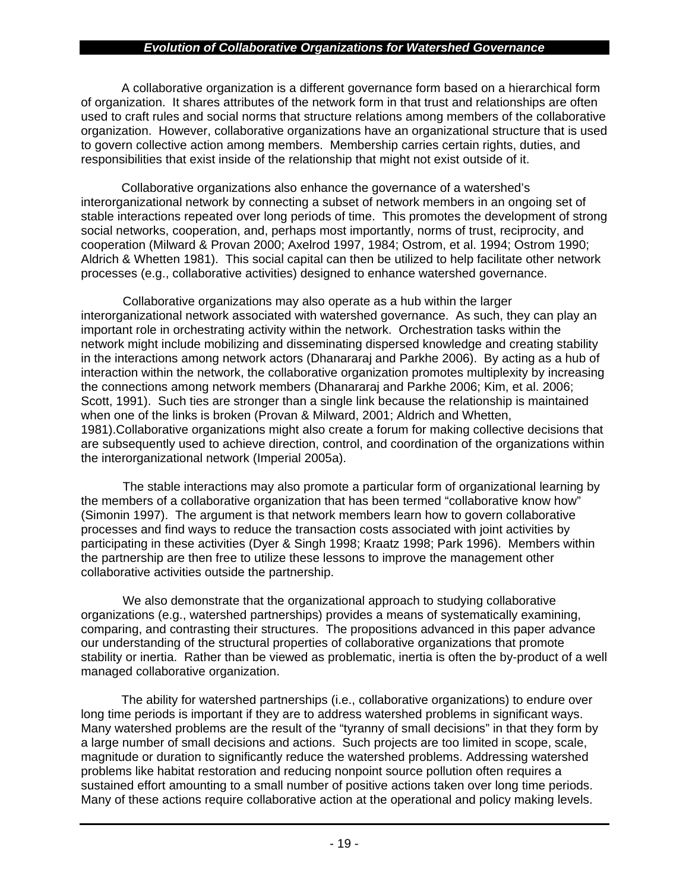A collaborative organization is a different governance form based on a hierarchical form of organization. It shares attributes of the network form in that trust and relationships are often used to craft rules and social norms that structure relations among members of the collaborative organization. However, collaborative organizations have an organizational structure that is used to govern collective action among members. Membership carries certain rights, duties, and responsibilities that exist inside of the relationship that might not exist outside of it.

Collaborative organizations also enhance the governance of a watershed's interorganizational network by connecting a subset of network members in an ongoing set of stable interactions repeated over long periods of time. This promotes the development of strong social networks, cooperation, and, perhaps most importantly, norms of trust, reciprocity, and cooperation (Milward & Provan 2000; Axelrod 1997, 1984; Ostrom, et al. 1994; Ostrom 1990; Aldrich & Whetten 1981). This social capital can then be utilized to help facilitate other network processes (e.g., collaborative activities) designed to enhance watershed governance.

Collaborative organizations may also operate as a hub within the larger interorganizational network associated with watershed governance. As such, they can play an important role in orchestrating activity within the network. Orchestration tasks within the network might include mobilizing and disseminating dispersed knowledge and creating stability in the interactions among network actors (Dhanararaj and Parkhe 2006). By acting as a hub of interaction within the network, the collaborative organization promotes multiplexity by increasing the connections among network members (Dhanararaj and Parkhe 2006; Kim, et al. 2006; Scott, 1991). Such ties are stronger than a single link because the relationship is maintained when one of the links is broken (Provan & Milward, 2001; Aldrich and Whetten, 1981).Collaborative organizations might also create a forum for making collective decisions that are subsequently used to achieve direction, control, and coordination of the organizations within the interorganizational network (Imperial 2005a).

The stable interactions may also promote a particular form of organizational learning by the members of a collaborative organization that has been termed "collaborative know how" (Simonin 1997). The argument is that network members learn how to govern collaborative processes and find ways to reduce the transaction costs associated with joint activities by participating in these activities (Dyer & Singh 1998; Kraatz 1998; Park 1996). Members within the partnership are then free to utilize these lessons to improve the management other collaborative activities outside the partnership.

We also demonstrate that the organizational approach to studying collaborative organizations (e.g., watershed partnerships) provides a means of systematically examining, comparing, and contrasting their structures. The propositions advanced in this paper advance our understanding of the structural properties of collaborative organizations that promote stability or inertia. Rather than be viewed as problematic, inertia is often the by-product of a well managed collaborative organization.

The ability for watershed partnerships (i.e., collaborative organizations) to endure over long time periods is important if they are to address watershed problems in significant ways. Many watershed problems are the result of the "tyranny of small decisions" in that they form by a large number of small decisions and actions. Such projects are too limited in scope, scale, magnitude or duration to significantly reduce the watershed problems. Addressing watershed problems like habitat restoration and reducing nonpoint source pollution often requires a sustained effort amounting to a small number of positive actions taken over long time periods. Many of these actions require collaborative action at the operational and policy making levels.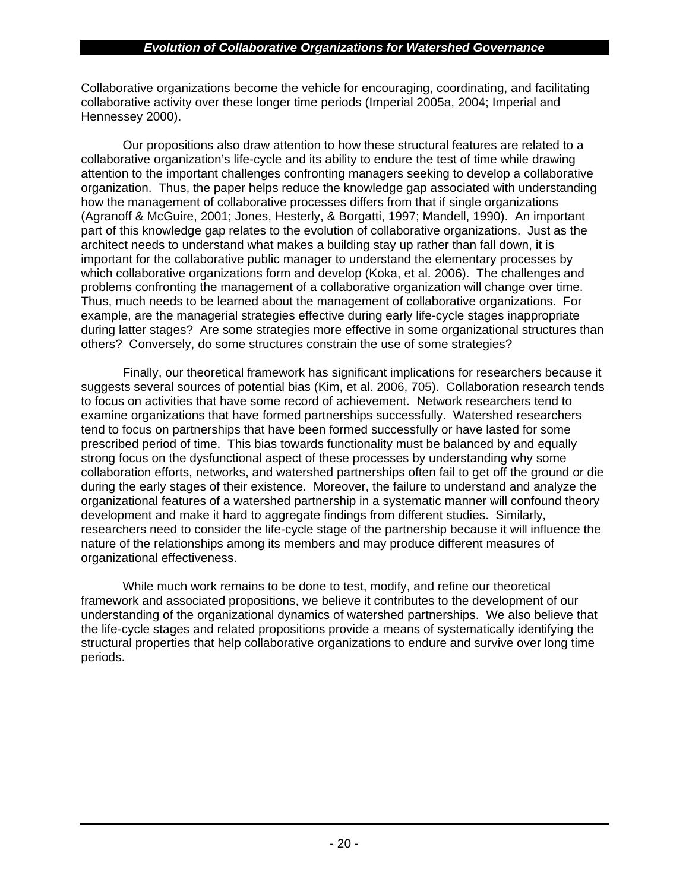Collaborative organizations become the vehicle for encouraging, coordinating, and facilitating collaborative activity over these longer time periods (Imperial 2005a, 2004; Imperial and Hennessey 2000).

Our propositions also draw attention to how these structural features are related to a collaborative organization's life-cycle and its ability to endure the test of time while drawing attention to the important challenges confronting managers seeking to develop a collaborative organization. Thus, the paper helps reduce the knowledge gap associated with understanding how the management of collaborative processes differs from that if single organizations (Agranoff & McGuire, 2001; Jones, Hesterly, & Borgatti, 1997; Mandell, 1990). An important part of this knowledge gap relates to the evolution of collaborative organizations. Just as the architect needs to understand what makes a building stay up rather than fall down, it is important for the collaborative public manager to understand the elementary processes by which collaborative organizations form and develop (Koka, et al. 2006). The challenges and problems confronting the management of a collaborative organization will change over time. Thus, much needs to be learned about the management of collaborative organizations. For example, are the managerial strategies effective during early life-cycle stages inappropriate during latter stages? Are some strategies more effective in some organizational structures than others? Conversely, do some structures constrain the use of some strategies?

Finally, our theoretical framework has significant implications for researchers because it suggests several sources of potential bias (Kim, et al. 2006, 705). Collaboration research tends to focus on activities that have some record of achievement. Network researchers tend to examine organizations that have formed partnerships successfully. Watershed researchers tend to focus on partnerships that have been formed successfully or have lasted for some prescribed period of time. This bias towards functionality must be balanced by and equally strong focus on the dysfunctional aspect of these processes by understanding why some collaboration efforts, networks, and watershed partnerships often fail to get off the ground or die during the early stages of their existence. Moreover, the failure to understand and analyze the organizational features of a watershed partnership in a systematic manner will confound theory development and make it hard to aggregate findings from different studies. Similarly, researchers need to consider the life-cycle stage of the partnership because it will influence the nature of the relationships among its members and may produce different measures of organizational effectiveness.

While much work remains to be done to test, modify, and refine our theoretical framework and associated propositions, we believe it contributes to the development of our understanding of the organizational dynamics of watershed partnerships. We also believe that the life-cycle stages and related propositions provide a means of systematically identifying the structural properties that help collaborative organizations to endure and survive over long time periods.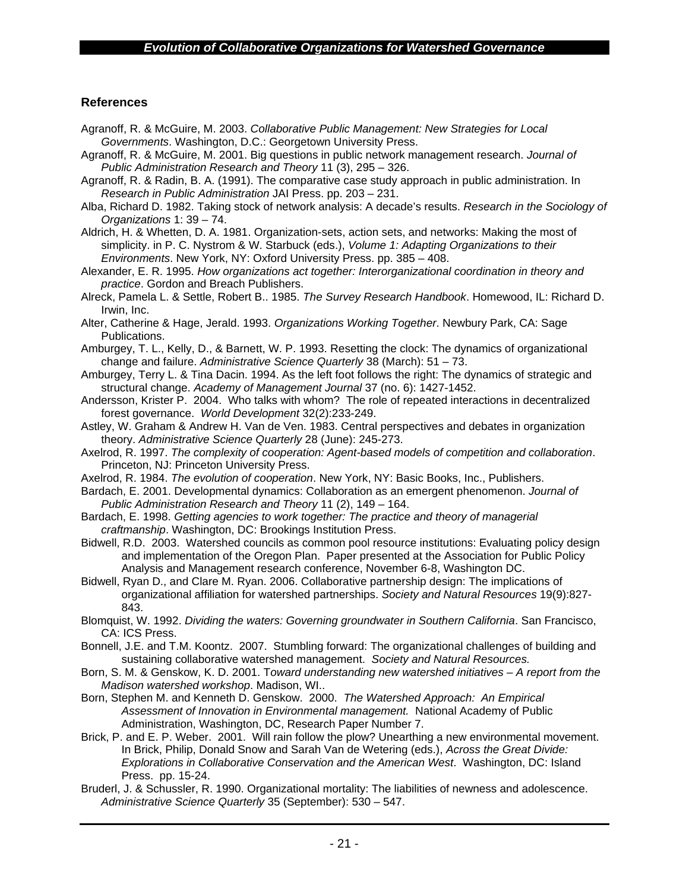## **References**

- Agranoff, R. & McGuire, M. 2003. *Collaborative Public Management: New Strategies for Local Governments*. Washington, D.C.: Georgetown University Press.
- Agranoff, R. & McGuire, M. 2001. Big questions in public network management research. *Journal of Public Administration Research and Theory* 11 (3), 295 – 326.
- Agranoff, R. & Radin, B. A. (1991). The comparative case study approach in public administration. In *Research in Public Administration* JAI Press. pp. 203 – 231.
- Alba, Richard D. 1982. Taking stock of network analysis: A decade's results. *Research in the Sociology of Organizations* 1: 39 – 74.
- Aldrich, H. & Whetten, D. A. 1981. Organization-sets, action sets, and networks: Making the most of simplicity. in P. C. Nystrom & W. Starbuck (eds.), *Volume 1: Adapting Organizations to their Environments*. New York, NY: Oxford University Press. pp. 385 – 408.
- Alexander, E. R. 1995. *How organizations act together: Interorganizational coordination in theory and practice*. Gordon and Breach Publishers.
- Alreck, Pamela L. & Settle, Robert B.. 1985. *The Survey Research Handbook*. Homewood, IL: Richard D. Irwin, Inc.
- Alter, Catherine & Hage, Jerald. 1993. *Organizations Working Together*. Newbury Park, CA: Sage Publications.
- Amburgey, T. L., Kelly, D., & Barnett, W. P. 1993. Resetting the clock: The dynamics of organizational change and failure. *Administrative Science Quarterly* 38 (March): 51 – 73.
- Amburgey, Terry L. & Tina Dacin. 1994. As the left foot follows the right: The dynamics of strategic and structural change. *Academy of Management Journal* 37 (no. 6): 1427-1452.
- Andersson, Krister P. 2004. Who talks with whom? The role of repeated interactions in decentralized forest governance. *World Development* 32(2):233-249.
- Astley, W. Graham & Andrew H. Van de Ven. 1983. Central perspectives and debates in organization theory. *Administrative Science Quarterly* 28 (June): 245-273.
- Axelrod, R. 1997. *The complexity of cooperation: Agent-based models of competition and collaboration*. Princeton, NJ: Princeton University Press.
- Axelrod, R. 1984. *The evolution of cooperation*. New York, NY: Basic Books, Inc., Publishers.
- Bardach, E. 2001. Developmental dynamics: Collaboration as an emergent phenomenon. *Journal of Public Administration Research and Theory* 11 (2), 149 – 164.
- Bardach, E. 1998. *Getting agencies to work together: The practice and theory of managerial craftmanship*. Washington, DC: Brookings Institution Press.
- Bidwell, R.D. 2003. Watershed councils as common pool resource institutions: Evaluating policy design and implementation of the Oregon Plan. Paper presented at the Association for Public Policy Analysis and Management research conference, November 6-8, Washington DC.
- Bidwell, Ryan D., and Clare M. Ryan. 2006. Collaborative partnership design: The implications of organizational affiliation for watershed partnerships. *Society and Natural Resources* 19(9):827- 843.
- Blomquist, W. 1992. *Dividing the waters: Governing groundwater in Southern California*. San Francisco, CA: ICS Press.
- Bonnell, J.E. and T.M. Koontz. 2007. Stumbling forward: The organizational challenges of building and sustaining collaborative watershed management. *Society and Natural Resources.*
- Born, S. M. & Genskow, K. D. 2001. T*oward understanding new watershed initiatives A report from the Madison watershed workshop*. Madison, WI..
- Born, Stephen M. and Kenneth D. Genskow. 2000. *The Watershed Approach: An Empirical Assessment of Innovation in Environmental management.* National Academy of Public Administration, Washington, DC, Research Paper Number 7.
- Brick, P. and E. P. Weber. 2001. Will rain follow the plow? Unearthing a new environmental movement. In Brick, Philip, Donald Snow and Sarah Van de Wetering (eds.), *Across the Great Divide: Explorations in Collaborative Conservation and the American West*. Washington, DC: Island Press. pp. 15-24.
- Bruderl, J. & Schussler, R. 1990. Organizational mortality: The liabilities of newness and adolescence. *Administrative Science Quarterly* 35 (September): 530 – 547.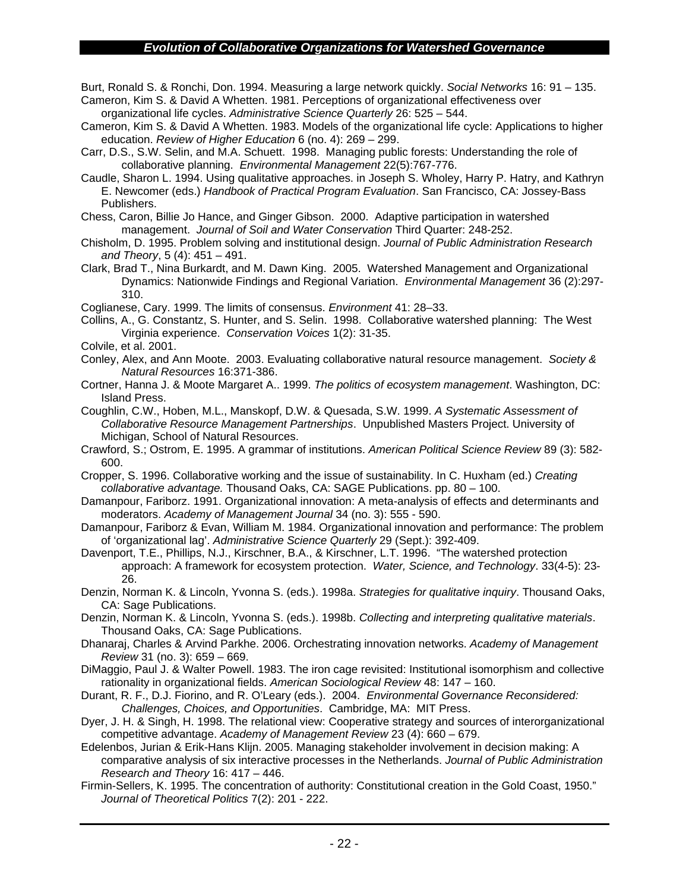Burt, Ronald S. & Ronchi, Don. 1994. Measuring a large network quickly. *Social Networks* 16: 91 – 135. Cameron, Kim S. & David A Whetten. 1981. Perceptions of organizational effectiveness over

organizational life cycles. *Administrative Science Quarterly* 26: 525 – 544.

Cameron, Kim S. & David A Whetten. 1983. Models of the organizational life cycle: Applications to higher education. *Review of Higher Education* 6 (no. 4): 269 – 299.

Carr, D.S., S.W. Selin, and M.A. Schuett. 1998. Managing public forests: Understanding the role of collaborative planning. *Environmental Management* 22(5):767-776.

Caudle, Sharon L. 1994. Using qualitative approaches. in Joseph S. Wholey, Harry P. Hatry, and Kathryn E. Newcomer (eds.) *Handbook of Practical Program Evaluation*. San Francisco, CA: Jossey-Bass Publishers.

Chess, Caron, Billie Jo Hance, and Ginger Gibson. 2000. Adaptive participation in watershed management. *Journal of Soil and Water Conservation* Third Quarter: 248-252.

Chisholm, D. 1995. Problem solving and institutional design. *Journal of Public Administration Research and Theory*, 5 (4): 451 – 491.

Clark, Brad T., Nina Burkardt, and M. Dawn King. 2005. Watershed Management and Organizational Dynamics: Nationwide Findings and Regional Variation. *Environmental Management* 36 (2):297- 310.

Coglianese, Cary. 1999. The limits of consensus. *Environment* 41: 28–33.

Collins, A., G. Constantz, S. Hunter, and S. Selin. 1998. Collaborative watershed planning: The West Virginia experience. *Conservation Voices* 1(2): 31-35.

Colvile, et al. 2001.

- Conley, Alex, and Ann Moote. 2003. Evaluating collaborative natural resource management. *Society & Natural Resources* 16:371-386.
- Cortner, Hanna J. & Moote Margaret A.. 1999. *The politics of ecosystem management*. Washington, DC: Island Press.

Coughlin, C.W., Hoben, M.L., Manskopf, D.W. & Quesada, S.W. 1999. *A Systematic Assessment of Collaborative Resource Management Partnerships*. Unpublished Masters Project. University of Michigan, School of Natural Resources.

Crawford, S.; Ostrom, E. 1995. A grammar of institutions. *American Political Science Review* 89 (3): 582- 600.

Cropper, S. 1996. Collaborative working and the issue of sustainability. In C. Huxham (ed.) *Creating collaborative advantage.* Thousand Oaks, CA: SAGE Publications. pp. 80 – 100.

Damanpour, Fariborz. 1991. Organizational innovation: A meta-analysis of effects and determinants and moderators. *Academy of Management Journal* 34 (no. 3): 555 - 590.

Damanpour, Fariborz & Evan, William M. 1984. Organizational innovation and performance: The problem of 'organizational lag'. *Administrative Science Quarterly* 29 (Sept.): 392-409.

Davenport, T.E., Phillips, N.J., Kirschner, B.A., & Kirschner, L.T. 1996. "The watershed protection approach: A framework for ecosystem protection. *Water, Science, and Technology*. 33(4-5): 23- 26.

Denzin, Norman K. & Lincoln, Yvonna S. (eds.). 1998a. *Strategies for qualitative inquiry*. Thousand Oaks, CA: Sage Publications.

Denzin, Norman K. & Lincoln, Yvonna S. (eds.). 1998b. *Collecting and interpreting qualitative materials*. Thousand Oaks, CA: Sage Publications.

Dhanaraj, Charles & Arvind Parkhe. 2006. Orchestrating innovation networks. *Academy of Management Review* 31 (no. 3): 659 – 669.

DiMaggio, Paul J. & Walter Powell. 1983. The iron cage revisited: Institutional isomorphism and collective rationality in organizational fields. *American Sociological Review* 48: 147 – 160.

Durant, R. F., D.J. Fiorino, and R. O'Leary (eds.). 2004. *Environmental Governance Reconsidered: Challenges, Choices, and Opportunities*. Cambridge, MA: MIT Press.

Dyer, J. H. & Singh, H. 1998. The relational view: Cooperative strategy and sources of interorganizational competitive advantage. *Academy of Management Review* 23 (4): 660 – 679.

Edelenbos, Jurian & Erik-Hans Klijn. 2005. Managing stakeholder involvement in decision making: A comparative analysis of six interactive processes in the Netherlands. *Journal of Public Administration Research and Theory* 16: 417 – 446.

Firmin-Sellers, K. 1995. The concentration of authority: Constitutional creation in the Gold Coast, 1950." *Journal of Theoretical Politics* 7(2): 201 - 222.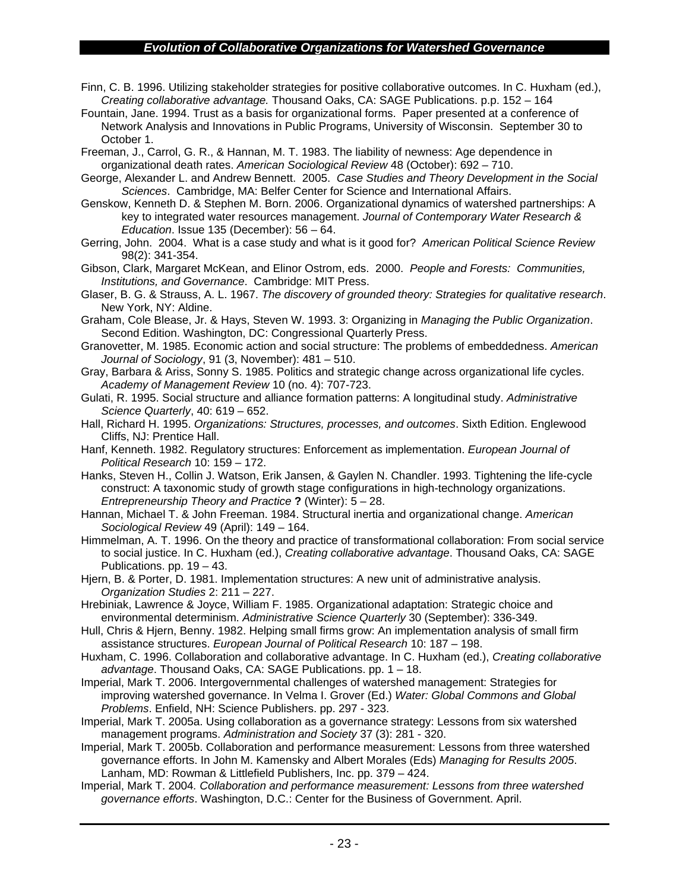- Finn, C. B. 1996. Utilizing stakeholder strategies for positive collaborative outcomes. In C. Huxham (ed.), *Creating collaborative advantage.* Thousand Oaks, CA: SAGE Publications. p.p. 152 – 164
- Fountain, Jane. 1994. Trust as a basis for organizational forms. Paper presented at a conference of Network Analysis and Innovations in Public Programs, University of Wisconsin. September 30 to October 1.

Freeman, J., Carrol, G. R., & Hannan, M. T. 1983. The liability of newness: Age dependence in organizational death rates. *American Sociological Review* 48 (October): 692 – 710.

George, Alexander L. and Andrew Bennett. 2005. *Case Studies and Theory Development in the Social Sciences*. Cambridge, MA: Belfer Center for Science and International Affairs.

Genskow, Kenneth D. & Stephen M. Born. 2006. Organizational dynamics of watershed partnerships: A key to integrated water resources management. *Journal of Contemporary Water Research & Education*. Issue 135 (December): 56 – 64.

Gerring, John. 2004. What is a case study and what is it good for? *American Political Science Review* 98(2): 341-354.

Gibson, Clark, Margaret McKean, and Elinor Ostrom, eds. 2000. *People and Forests: Communities, Institutions, and Governance*. Cambridge: MIT Press.

Glaser, B. G. & Strauss, A. L. 1967. *The discovery of grounded theory: Strategies for qualitative research*. New York, NY: Aldine.

Graham, Cole Blease, Jr. & Hays, Steven W. 1993. 3: Organizing in *Managing the Public Organization*. Second Edition. Washington, DC: Congressional Quarterly Press.

Granovetter, M. 1985. Economic action and social structure: The problems of embeddedness. *American Journal of Sociology*, 91 (3, November): 481 – 510.

Gray, Barbara & Ariss, Sonny S. 1985. Politics and strategic change across organizational life cycles. *Academy of Management Review* 10 (no. 4): 707-723.

Gulati, R. 1995. Social structure and alliance formation patterns: A longitudinal study. *Administrative Science Quarterly*, 40: 619 – 652.

Hall, Richard H. 1995. *Organizations: Structures, processes, and outcomes*. Sixth Edition. Englewood Cliffs, NJ: Prentice Hall.

Hanf, Kenneth. 1982. Regulatory structures: Enforcement as implementation. *European Journal of Political Research* 10: 159 – 172.

Hanks, Steven H., Collin J. Watson, Erik Jansen, & Gaylen N. Chandler. 1993. Tightening the life-cycle construct: A taxonomic study of growth stage configurations in high-technology organizations. *Entrepreneurship Theory and Practice* **?** (Winter): 5 – 28.

Hannan, Michael T. & John Freeman. 1984. Structural inertia and organizational change. *American Sociological Review* 49 (April): 149 – 164.

Himmelman, A. T. 1996. On the theory and practice of transformational collaboration: From social service to social justice. In C. Huxham (ed.), *Creating collaborative advantage*. Thousand Oaks, CA: SAGE Publications. pp. 19 – 43.

Hjern, B. & Porter, D. 1981. Implementation structures: A new unit of administrative analysis. *Organization Studies* 2: 211 – 227.

Hrebiniak, Lawrence & Joyce, William F. 1985. Organizational adaptation: Strategic choice and environmental determinism. *Administrative Science Quarterly* 30 (September): 336-349.

Hull, Chris & Hjern, Benny. 1982. Helping small firms grow: An implementation analysis of small firm assistance structures. *European Journal of Political Research* 10: 187 – 198.

Huxham, C. 1996. Collaboration and collaborative advantage. In C. Huxham (ed.), *Creating collaborative advantage*. Thousand Oaks, CA: SAGE Publications. pp. 1 – 18.

Imperial, Mark T. 2006. Intergovernmental challenges of watershed management: Strategies for improving watershed governance. In Velma I. Grover (Ed.) *Water: Global Commons and Global Problems*. Enfield, NH: Science Publishers. pp. 297 - 323.

Imperial, Mark T. 2005a. Using collaboration as a governance strategy: Lessons from six watershed management programs. *Administration and Society* 37 (3): 281 - 320.

Imperial, Mark T. 2005b. Collaboration and performance measurement: Lessons from three watershed governance efforts. In John M. Kamensky and Albert Morales (Eds) *Managing for Results 2005*. Lanham, MD: Rowman & Littlefield Publishers, Inc. pp. 379 – 424.

Imperial, Mark T. 2004*. Collaboration and performance measurement: Lessons from three watershed governance efforts*. Washington, D.C.: Center for the Business of Government. April.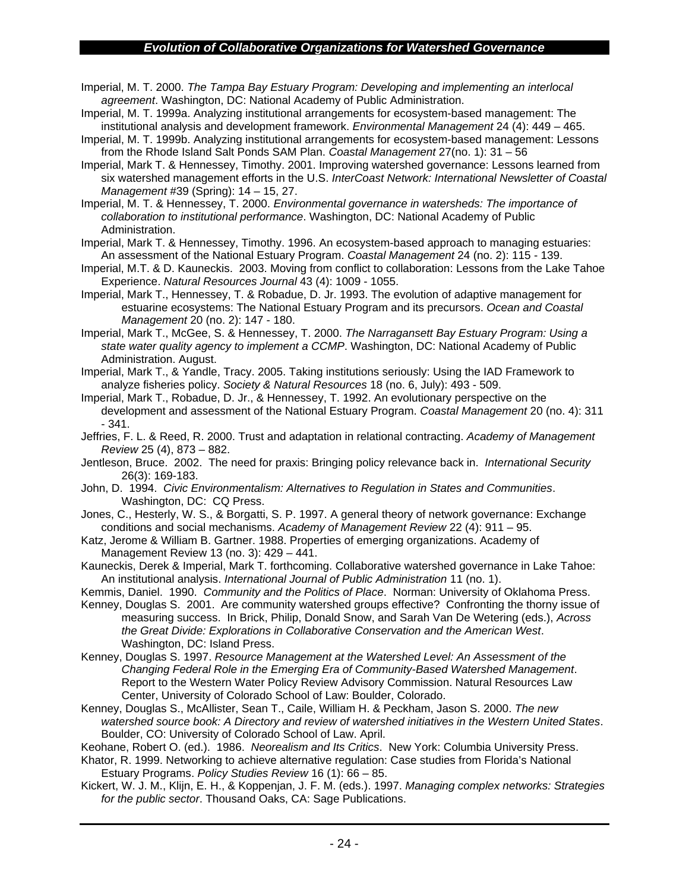Imperial, M. T. 2000. *The Tampa Bay Estuary Program: Developing and implementing an interlocal agreement*. Washington, DC: National Academy of Public Administration.

- Imperial, M. T. 1999a. Analyzing institutional arrangements for ecosystem-based management: The institutional analysis and development framework. *Environmental Management* 24 (4): 449 – 465.
- Imperial, M. T. 1999b. Analyzing institutional arrangements for ecosystem-based management: Lessons from the Rhode Island Salt Ponds SAM Plan. *Coastal Management* 27(no. 1): 31 – 56
- Imperial, Mark T. & Hennessey, Timothy. 2001. Improving watershed governance: Lessons learned from six watershed management efforts in the U.S. *InterCoast Network: International Newsletter of Coastal Management* #39 (Spring): 14 – 15, 27.

Imperial, M. T. & Hennessey, T. 2000. *Environmental governance in watersheds: The importance of collaboration to institutional performance*. Washington, DC: National Academy of Public Administration.

Imperial, Mark T. & Hennessey, Timothy. 1996. An ecosystem-based approach to managing estuaries: An assessment of the National Estuary Program. *Coastal Management* 24 (no. 2): 115 - 139.

- Imperial, M.T. & D. Kauneckis. 2003. Moving from conflict to collaboration: Lessons from the Lake Tahoe Experience. *Natural Resources Journal* 43 (4): 1009 - 1055.
- Imperial, Mark T., Hennessey, T. & Robadue, D. Jr. 1993. The evolution of adaptive management for estuarine ecosystems: The National Estuary Program and its precursors. *Ocean and Coastal Management* 20 (no. 2): 147 - 180.

Imperial, Mark T., McGee, S. & Hennessey, T. 2000. *The Narragansett Bay Estuary Program: Using a state water quality agency to implement a CCMP*. Washington, DC: National Academy of Public Administration. August.

Imperial, Mark T., & Yandle, Tracy. 2005. Taking institutions seriously: Using the IAD Framework to analyze fisheries policy. *Society & Natural Resources* 18 (no. 6, July): 493 - 509.

Imperial, Mark T., Robadue, D. Jr., & Hennessey, T. 1992. An evolutionary perspective on the development and assessment of the National Estuary Program. *Coastal Management* 20 (no. 4): 311 - 341.

Jeffries, F. L. & Reed, R. 2000. Trust and adaptation in relational contracting. *Academy of Management Review* 25 (4), 873 – 882.

Jentleson, Bruce. 2002. The need for praxis: Bringing policy relevance back in. *International Security* 26(3): 169-183.

John, D. 1994. *Civic Environmentalism: Alternatives to Regulation in States and Communities*. Washington, DC: CQ Press.

Jones, C., Hesterly, W. S., & Borgatti, S. P. 1997. A general theory of network governance: Exchange conditions and social mechanisms. *Academy of Management Review* 22 (4): 911 – 95.

Katz, Jerome & William B. Gartner. 1988. Properties of emerging organizations. Academy of Management Review 13 (no. 3): 429 – 441.

Kauneckis, Derek & Imperial, Mark T. forthcoming. Collaborative watershed governance in Lake Tahoe: An institutional analysis. *International Journal of Public Administration* 11 (no. 1).

Kemmis, Daniel. 1990. *Community and the Politics of Place*. Norman: University of Oklahoma Press.

Kenney, Douglas S. 2001. Are community watershed groups effective? Confronting the thorny issue of measuring success. In Brick, Philip, Donald Snow, and Sarah Van De Wetering (eds.), *Across the Great Divide: Explorations in Collaborative Conservation and the American West*. Washington, DC: Island Press.

Kenney, Douglas S. 1997. *Resource Management at the Watershed Level: An Assessment of the Changing Federal Role in the Emerging Era of Community-Based Watershed Management*. Report to the Western Water Policy Review Advisory Commission. Natural Resources Law Center, University of Colorado School of Law: Boulder, Colorado.

Kenney, Douglas S., McAllister, Sean T., Caile, William H. & Peckham, Jason S. 2000. *The new watershed source book: A Directory and review of watershed initiatives in the Western United States*. Boulder, CO: University of Colorado School of Law. April.

Keohane, Robert O. (ed.). 1986. *Neorealism and Its Critics*. New York: Columbia University Press.

Khator, R. 1999. Networking to achieve alternative regulation: Case studies from Florida's National Estuary Programs. *Policy Studies Review* 16 (1): 66 – 85.

Kickert, W. J. M., Klijn, E. H., & Koppenjan, J. F. M. (eds.). 1997. *Managing complex networks: Strategies for the public sector*. Thousand Oaks, CA: Sage Publications.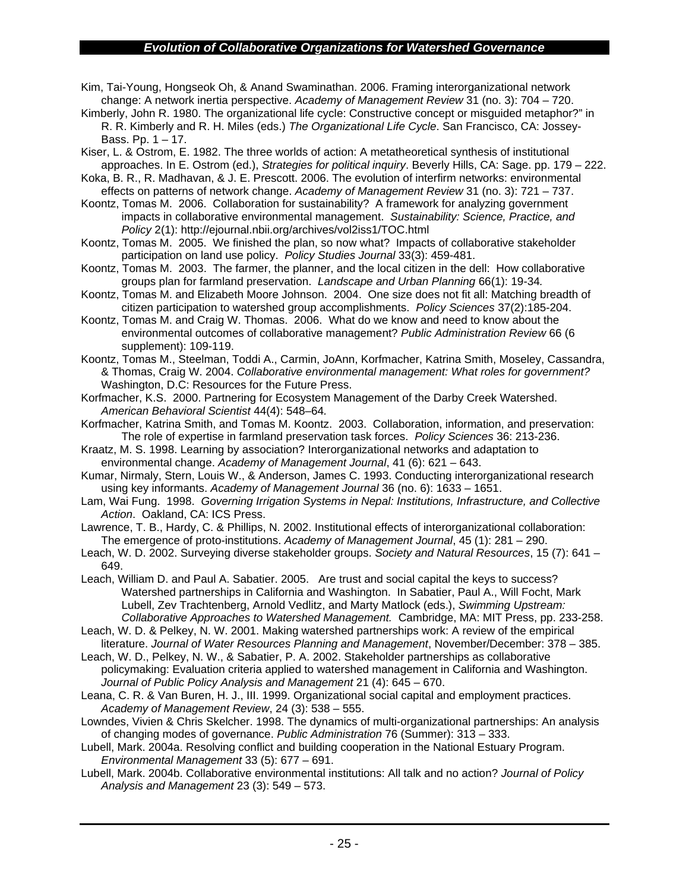- Kim, Tai-Young, Hongseok Oh, & Anand Swaminathan. 2006. Framing interorganizational network change: A network inertia perspective. *Academy of Management Review* 31 (no. 3): 704 – 720.
- Kimberly, John R. 1980. The organizational life cycle: Constructive concept or misguided metaphor?" in R. R. Kimberly and R. H. Miles (eds.) *The Organizational Life Cycle*. San Francisco, CA: Jossey-Bass. Pp.  $1 - 17$ .
- Kiser, L. & Ostrom, E. 1982. The three worlds of action: A metatheoretical synthesis of institutional approaches. In E. Ostrom (ed.), *Strategies for political inquiry*. Beverly Hills, CA: Sage. pp. 179 – 222.
- Koka, B. R., R. Madhavan, & J. E. Prescott. 2006. The evolution of interfirm networks: environmental effects on patterns of network change. *Academy of Management Review* 31 (no. 3): 721 – 737.
- Koontz, Tomas M. 2006. Collaboration for sustainability? A framework for analyzing government impacts in collaborative environmental management. *Sustainability: Science, Practice, and Policy* 2(1): http://ejournal.nbii.org/archives/vol2iss1/TOC.html
- Koontz, Tomas M. 2005. We finished the plan, so now what? Impacts of collaborative stakeholder participation on land use policy. *Policy Studies Journal* 33(3): 459-481.
- Koontz, Tomas M. 2003. The farmer, the planner, and the local citizen in the dell: How collaborative groups plan for farmland preservation. *Landscape and Urban Planning* 66(1): 19-34*.*
- Koontz, Tomas M. and Elizabeth Moore Johnson. 2004. One size does not fit all: Matching breadth of citizen participation to watershed group accomplishments. *Policy Sciences* 37(2):185-204.
- Koontz, Tomas M. and Craig W. Thomas. 2006. What do we know and need to know about the environmental outcomes of collaborative management? *Public Administration Review* 66 (6 supplement): 109-119.
- Koontz, Tomas M., Steelman, Toddi A., Carmin, JoAnn, Korfmacher, Katrina Smith, Moseley, Cassandra, & Thomas, Craig W. 2004. *Collaborative environmental management: What roles for government?* Washington, D.C: Resources for the Future Press.
- Korfmacher, K.S. 2000. Partnering for Ecosystem Management of the Darby Creek Watershed. *American Behavioral Scientist* 44(4): 548–64*.*
- Korfmacher, Katrina Smith, and Tomas M. Koontz. 2003. Collaboration, information, and preservation: The role of expertise in farmland preservation task forces. *Policy Sciences* 36: 213-236.
- Kraatz, M. S. 1998. Learning by association? Interorganizational networks and adaptation to environmental change. *Academy of Management Journal*, 41 (6): 621 – 643.
- Kumar, Nirmaly, Stern, Louis W., & Anderson, James C. 1993. Conducting interorganizational research using key informants. *Academy of Management Journal* 36 (no. 6): 1633 – 1651.
- Lam, Wai Fung. 1998. *Governing Irrigation Systems in Nepal: Institutions, Infrastructure, and Collective Action*. Oakland, CA: ICS Press.
- Lawrence, T. B., Hardy, C. & Phillips, N. 2002. Institutional effects of interorganizational collaboration: The emergence of proto-institutions. *Academy of Management Journal*, 45 (1): 281 – 290.
- Leach, W. D. 2002. Surveying diverse stakeholder groups. *Society and Natural Resources*, 15 (7): 641 649.
- Leach, William D. and Paul A. Sabatier. 2005. Are trust and social capital the keys to success? Watershed partnerships in California and Washington. In Sabatier, Paul A., Will Focht, Mark Lubell, Zev Trachtenberg, Arnold Vedlitz, and Marty Matlock (eds.), *Swimming Upstream: Collaborative Approaches to Watershed Management.* Cambridge, MA: MIT Press, pp. 233-258.
- Leach, W. D. & Pelkey, N. W. 2001. Making watershed partnerships work: A review of the empirical literature. *Journal of Water Resources Planning and Management*, November/December: 378 – 385.
- Leach, W. D., Pelkey, N. W., & Sabatier, P. A. 2002. Stakeholder partnerships as collaborative policymaking: Evaluation criteria applied to watershed management in California and Washington. *Journal of Public Policy Analysis and Management* 21 (4): 645 – 670.
- Leana, C. R. & Van Buren, H. J., III. 1999. Organizational social capital and employment practices. *Academy of Management Review*, 24 (3): 538 – 555.
- Lowndes, Vivien & Chris Skelcher. 1998. The dynamics of multi-organizational partnerships: An analysis of changing modes of governance. *Public Administration* 76 (Summer): 313 – 333.

Lubell, Mark. 2004a. Resolving conflict and building cooperation in the National Estuary Program. *Environmental Management* 33 (5): 677 – 691.

Lubell, Mark. 2004b. Collaborative environmental institutions: All talk and no action? *Journal of Policy Analysis and Management* 23 (3): 549 – 573.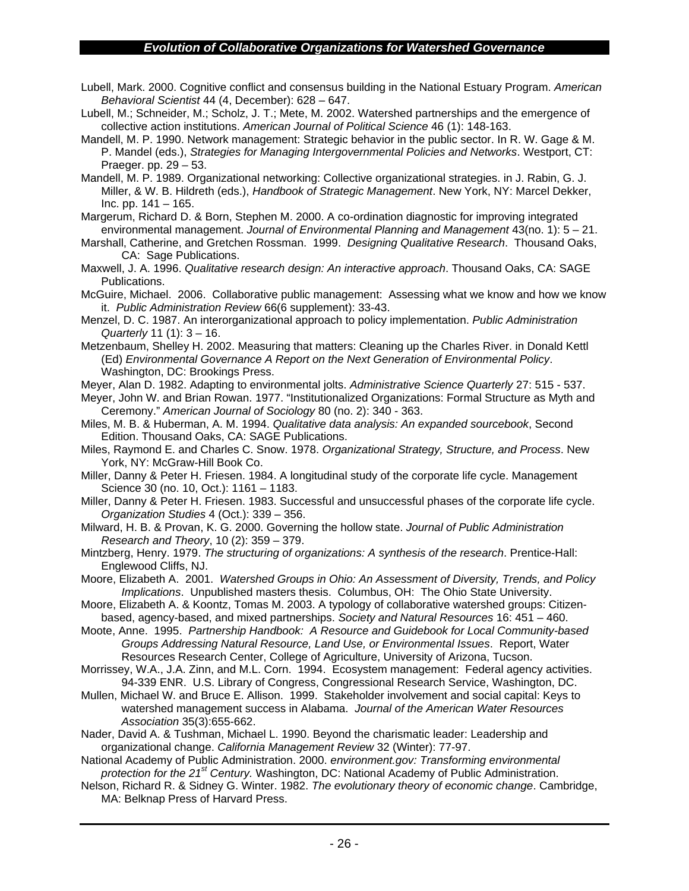- Lubell, Mark. 2000. Cognitive conflict and consensus building in the National Estuary Program. *American Behavioral Scientist* 44 (4, December): 628 – 647.
- Lubell, M.; Schneider, M.; Scholz, J. T.; Mete, M. 2002. Watershed partnerships and the emergence of collective action institutions. *American Journal of Political Science* 46 (1): 148-163.
- Mandell, M. P. 1990. Network management: Strategic behavior in the public sector. In R. W. Gage & M. P. Mandel (eds.), *Strategies for Managing Intergovernmental Policies and Networks*. Westport, CT: Praeger. pp. 29 – 53.
- Mandell, M. P. 1989. Organizational networking: Collective organizational strategies. in J. Rabin, G. J. Miller, & W. B. Hildreth (eds.), *Handbook of Strategic Management*. New York, NY: Marcel Dekker, Inc. pp. 141 – 165.
- Margerum, Richard D. & Born, Stephen M. 2000. A co-ordination diagnostic for improving integrated environmental management. *Journal of Environmental Planning and Management* 43(no. 1): 5 – 21.
- Marshall, Catherine, and Gretchen Rossman. 1999. *Designing Qualitative Research*. Thousand Oaks, CA: Sage Publications.
- Maxwell, J. A. 1996. *Qualitative research design: An interactive approach*. Thousand Oaks, CA: SAGE Publications.
- McGuire, Michael. 2006. Collaborative public management: Assessing what we know and how we know it. *Public Administration Review* 66(6 supplement): 33-43.
- Menzel, D. C. 1987. An interorganizational approach to policy implementation. *Public Administration Quarterly* 11 (1): 3 – 16.
- Metzenbaum, Shelley H. 2002. Measuring that matters: Cleaning up the Charles River. in Donald Kettl (Ed) *Environmental Governance A Report on the Next Generation of Environmental Policy*. Washington, DC: Brookings Press.
- Meyer, Alan D. 1982. Adapting to environmental jolts. *Administrative Science Quarterly* 27: 515 537.
- Meyer, John W. and Brian Rowan. 1977. "Institutionalized Organizations: Formal Structure as Myth and Ceremony." *American Journal of Sociology* 80 (no. 2): 340 - 363.
- Miles, M. B. & Huberman, A. M. 1994. *Qualitative data analysis: An expanded sourcebook*, Second Edition. Thousand Oaks, CA: SAGE Publications.
- Miles, Raymond E. and Charles C. Snow. 1978. *Organizational Strategy, Structure, and Process*. New York, NY: McGraw-Hill Book Co.
- Miller, Danny & Peter H. Friesen. 1984. A longitudinal study of the corporate life cycle. Management Science 30 (no. 10, Oct.): 1161 – 1183.
- Miller, Danny & Peter H. Friesen. 1983. Successful and unsuccessful phases of the corporate life cycle. *Organization Studies* 4 (Oct.): 339 – 356.
- Milward, H. B. & Provan, K. G. 2000. Governing the hollow state. *Journal of Public Administration Research and Theory*, 10 (2): 359 – 379.
- Mintzberg, Henry. 1979. *The structuring of organizations: A synthesis of the research*. Prentice-Hall: Englewood Cliffs, NJ.
- Moore, Elizabeth A. 2001. *Watershed Groups in Ohio: An Assessment of Diversity, Trends, and Policy Implications*. Unpublished masters thesis. Columbus, OH: The Ohio State University.
- Moore, Elizabeth A. & Koontz, Tomas M. 2003. A typology of collaborative watershed groups: Citizenbased, agency-based, and mixed partnerships. *Society and Natural Resources* 16: 451 – 460.
- Moote, Anne. 1995. *Partnership Handbook: A Resource and Guidebook for Local Community-based Groups Addressing Natural Resource, Land Use, or Environmental Issues*. Report, Water Resources Research Center, College of Agriculture, University of Arizona, Tucson.
- Morrissey, W.A., J.A. Zinn, and M.L. Corn. 1994. Ecosystem management: Federal agency activities. 94-339 ENR. U.S. Library of Congress, Congressional Research Service, Washington, DC.
- Mullen, Michael W. and Bruce E. Allison. 1999. Stakeholder involvement and social capital: Keys to watershed management success in Alabama. *Journal of the American Water Resources Association* 35(3):655-662.
- Nader, David A. & Tushman, Michael L. 1990. Beyond the charismatic leader: Leadership and organizational change. *California Management Review* 32 (Winter): 77-97.
- National Academy of Public Administration. 2000. *environment.gov: Transforming environmental protection for the 21st Century.* Washington, DC: National Academy of Public Administration.
- Nelson, Richard R. & Sidney G. Winter. 1982. *The evolutionary theory of economic change*. Cambridge, MA: Belknap Press of Harvard Press.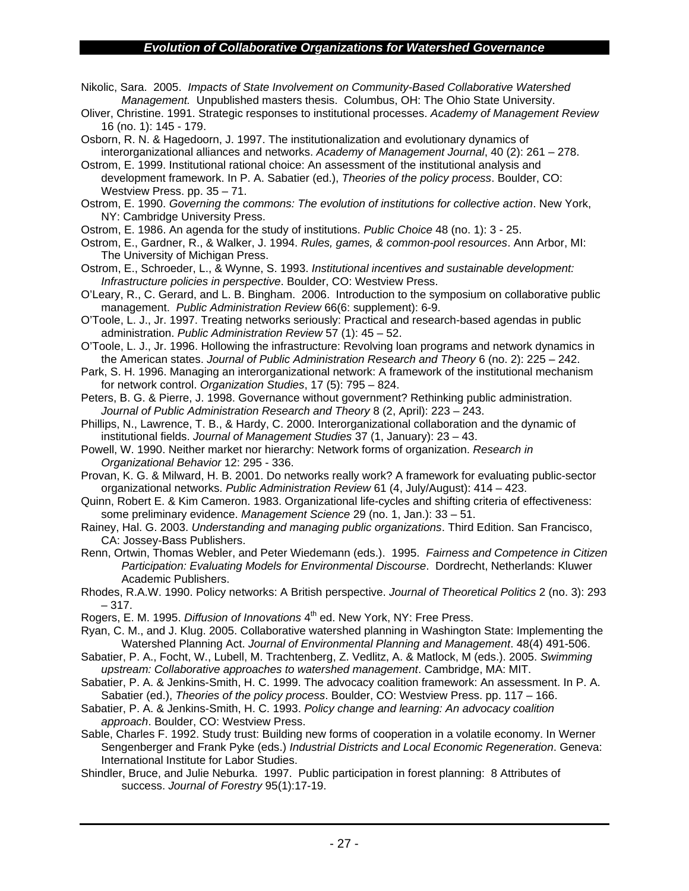- Nikolic, Sara. 2005. *Impacts of State Involvement on Community-Based Collaborative Watershed Management.* Unpublished masters thesis. Columbus, OH: The Ohio State University.
- Oliver, Christine. 1991. Strategic responses to institutional processes. *Academy of Management Review* 16 (no. 1): 145 - 179.
- Osborn, R. N. & Hagedoorn, J. 1997. The institutionalization and evolutionary dynamics of interorganizational alliances and networks. *Academy of Management Journal*, 40 (2): 261 – 278.
- Ostrom, E. 1999. Institutional rational choice: An assessment of the institutional analysis and development framework. In P. A. Sabatier (ed.), *Theories of the policy process*. Boulder, CO: Westview Press. pp. 35 – 71.
- Ostrom, E. 1990. *Governing the commons: The evolution of institutions for collective action*. New York, NY: Cambridge University Press.
- Ostrom, E. 1986. An agenda for the study of institutions. *Public Choice* 48 (no. 1): 3 25.
- Ostrom, E., Gardner, R., & Walker, J. 1994. *Rules, games, & common-pool resources*. Ann Arbor, MI: The University of Michigan Press.
- Ostrom, E., Schroeder, L., & Wynne, S. 1993. *Institutional incentives and sustainable development: Infrastructure policies in perspective*. Boulder, CO: Westview Press.
- O'Leary, R., C. Gerard, and L. B. Bingham. 2006. Introduction to the symposium on collaborative public management. *Public Administration Review* 66(6: supplement): 6-9.
- O'Toole, L. J., Jr. 1997. Treating networks seriously: Practical and research-based agendas in public administration. *Public Administration Review* 57 (1): 45 – 52.
- O'Toole, L. J., Jr. 1996. Hollowing the infrastructure: Revolving loan programs and network dynamics in the American states. *Journal of Public Administration Research and Theory* 6 (no. 2): 225 – 242.
- Park, S. H. 1996. Managing an interorganizational network: A framework of the institutional mechanism for network control. *Organization Studies*, 17 (5): 795 – 824.
- Peters, B. G. & Pierre, J. 1998. Governance without government? Rethinking public administration. *Journal of Public Administration Research and Theory* 8 (2, April): 223 – 243.
- Phillips, N., Lawrence, T. B., & Hardy, C. 2000. Interorganizational collaboration and the dynamic of institutional fields. *Journal of Management Studies* 37 (1, January): 23 – 43.
- Powell, W. 1990. Neither market nor hierarchy: Network forms of organization. *Research in Organizational Behavior* 12: 295 - 336.
- Provan, K. G. & Milward, H. B. 2001. Do networks really work? A framework for evaluating public-sector organizational networks. *Public Administration Review* 61 (4, July/August): 414 – 423.
- Quinn, Robert E. & Kim Cameron. 1983. Organizational life-cycles and shifting criteria of effectiveness: some preliminary evidence. *Management Science* 29 (no. 1, Jan.): 33 – 51.
- Rainey, Hal. G. 2003. *Understanding and managing public organizations*. Third Edition. San Francisco, CA: Jossey-Bass Publishers.
- Renn, Ortwin, Thomas Webler, and Peter Wiedemann (eds.). 1995. *Fairness and Competence in Citizen Participation: Evaluating Models for Environmental Discourse*. Dordrecht, Netherlands: Kluwer Academic Publishers.
- Rhodes, R.A.W. 1990. Policy networks: A British perspective. *Journal of Theoretical Politics* 2 (no. 3): 293 – 317.
- Rogers, E. M. 1995. *Diffusion of Innovations* 4<sup>th</sup> ed. New York, NY: Free Press.
- Ryan, C. M., and J. Klug. 2005. Collaborative watershed planning in Washington State: Implementing the Watershed Planning Act. *Journal of Environmental Planning and Management*. 48(4) 491-506.
- Sabatier, P. A., Focht, W., Lubell, M. Trachtenberg, Z. Vedlitz, A. & Matlock, M (eds.). 2005. *Swimming upstream: Collaborative approaches to watershed management*. Cambridge, MA: MIT.
- Sabatier, P. A. & Jenkins-Smith, H. C. 1999. The advocacy coalition framework: An assessment. In P. A. Sabatier (ed.), *Theories of the policy process*. Boulder, CO: Westview Press. pp. 117 – 166.
- Sabatier, P. A. & Jenkins-Smith, H. C. 1993. *Policy change and learning: An advocacy coalition approach*. Boulder, CO: Westview Press.
- Sable, Charles F. 1992. Study trust: Building new forms of cooperation in a volatile economy. In Werner Sengenberger and Frank Pyke (eds.) *Industrial Districts and Local Economic Regeneration*. Geneva: International Institute for Labor Studies.
- Shindler, Bruce, and Julie Neburka. 1997. Public participation in forest planning: 8 Attributes of success. *Journal of Forestry* 95(1):17-19.